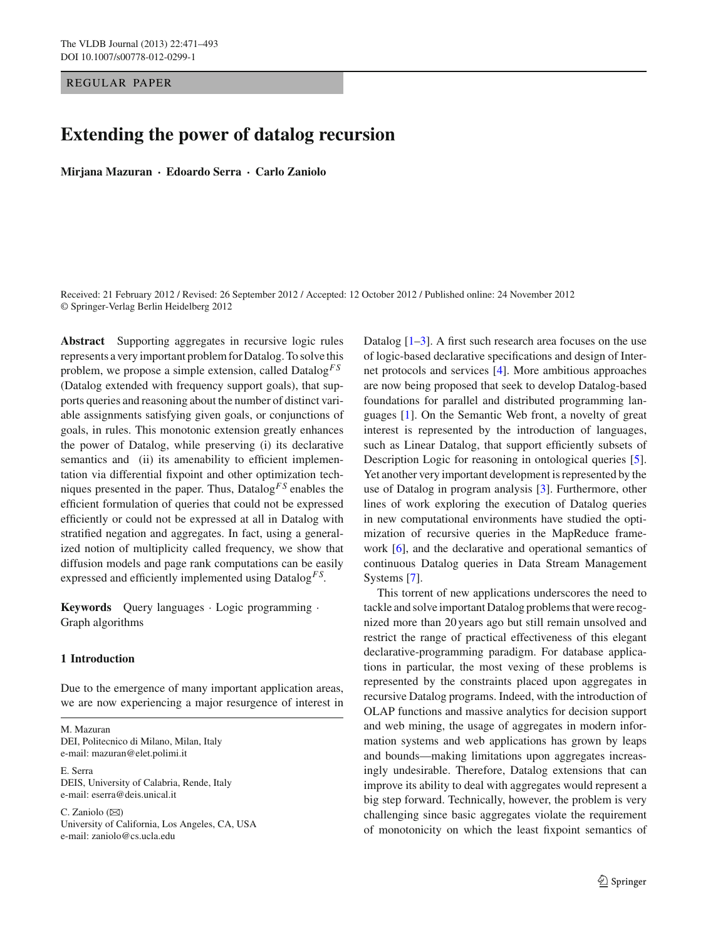### REGULAR PAPER

# **Extending the power of datalog recursion**

**Mirjana Mazuran · Edoardo Serra · Carlo Zaniolo**

Received: 21 February 2012 / Revised: 26 September 2012 / Accepted: 12 October 2012 / Published online: 24 November 2012 © Springer-Verlag Berlin Heidelberg 2012

**Abstract** Supporting aggregates in recursive logic rules represents a very important problem for Datalog. To solve this problem, we propose a simple extension, called Datalog*F S* (Datalog extended with frequency support goals), that supports queries and reasoning about the number of distinct variable assignments satisfying given goals, or conjunctions of goals, in rules. This monotonic extension greatly enhances the power of Datalog, while preserving (i) its declarative semantics and (ii) its amenability to efficient implementation via differential fixpoint and other optimization techniques presented in the paper. Thus, Datalog*F S* enables the efficient formulation of queries that could not be expressed efficiently or could not be expressed at all in Datalog with stratified negation and aggregates. In fact, using a generalized notion of multiplicity called frequency, we show that diffusion models and page rank computations can be easily expressed and efficiently implemented using Datalog*F S*.

**Keywords** Query languages · Logic programming · Graph algorithms

# <span id="page-0-0"></span>**1 Introduction**

Due to the emergence of many important application areas, we are now experiencing a major resurgence of interest in

M. Mazuran DEI, Politecnico di Milano, Milan, Italy e-mail: mazuran@elet.polimi.it

E. Serra DEIS, University of Calabria, Rende, Italy e-mail: eserra@deis.unical.it

C. Zaniolo  $(\boxtimes)$ University of California, Los Angeles, CA, USA e-mail: zaniolo@cs.ucla.edu

Datalog  $[1-3]$  $[1-3]$ . A first such research area focuses on the use of logic-based declarative specifications and design of Internet protocols and services [\[4](#page-22-2)]. More ambitious approaches are now being proposed that seek to develop Datalog-based foundations for parallel and distributed programming languages [\[1](#page-22-0)]. On the Semantic Web front, a novelty of great interest is represented by the introduction of languages, such as Linear Datalog, that support efficiently subsets of Description Logic for reasoning in ontological queries [\[5](#page-22-3)]. Yet another very important development is represented by the use of Datalog in program analysis [\[3\]](#page-22-1). Furthermore, other lines of work exploring the execution of Datalog queries in new computational environments have studied the optimization of recursive queries in the MapReduce framework [\[6](#page-22-4)], and the declarative and operational semantics of continuous Datalog queries in Data Stream Management Systems [\[7](#page-22-5)].

This torrent of new applications underscores the need to tackle and solve important Datalog problems that were recognized more than 20 years ago but still remain unsolved and restrict the range of practical effectiveness of this elegant declarative-programming paradigm. For database applications in particular, the most vexing of these problems is represented by the constraints placed upon aggregates in recursive Datalog programs. Indeed, with the introduction of OLAP functions and massive analytics for decision support and web mining, the usage of aggregates in modern information systems and web applications has grown by leaps and bounds—making limitations upon aggregates increasingly undesirable. Therefore, Datalog extensions that can improve its ability to deal with aggregates would represent a big step forward. Technically, however, the problem is very challenging since basic aggregates violate the requirement of monotonicity on which the least fixpoint semantics of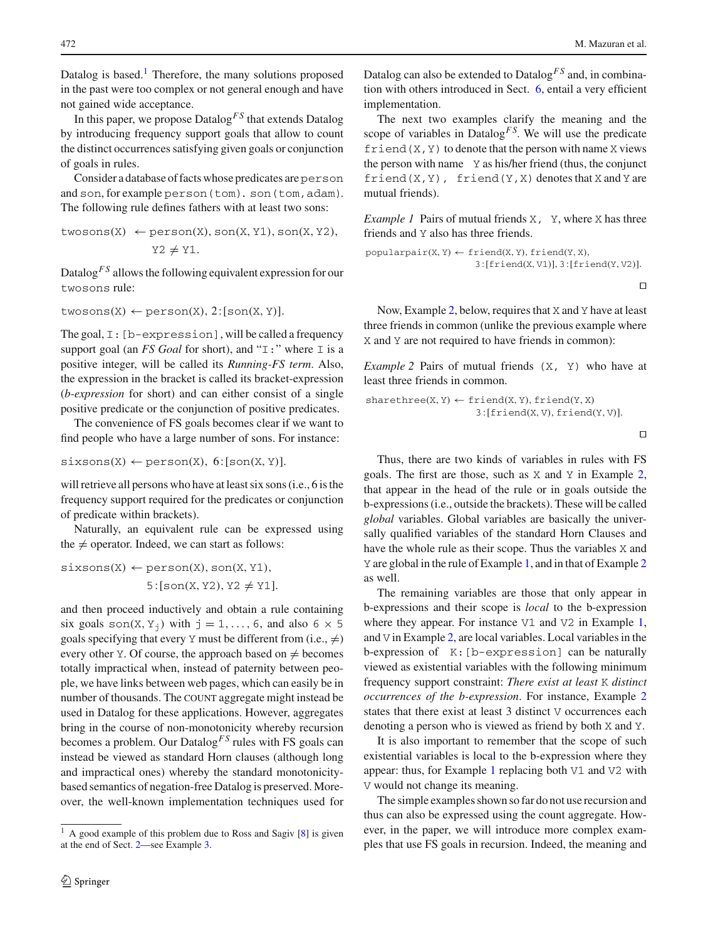Datalog is based.<sup>[1](#page-1-0)</sup> Therefore, the many solutions proposed in the past were too complex or not general enough and have not gained wide acceptance.

In this paper, we propose Datalog*F S* that extends Datalog by introducing frequency support goals that allow to count the distinct occurrences satisfying given goals or conjunction of goals in rules.

Consider a database of facts whose predicates are person and son, for example person(tom). son(tom, adam). The following rule defines fathers with at least two sons:

$$
\text{twosons(X)} \leftarrow \text{person(X)}, \text{son(X, Y1)}, \text{son(X, Y2)}, \\ \text{Y2} \neq \text{Y1}.
$$

Datalog*F S* allows the following equivalent expression for our twosons rule:

```
twosons(X) \leftarrow person(X), 2:[son(X, Y)].
```
The goal, I:[b-expression], will be called a frequency support goal (an *FS Goal* for short), and " $\text{I}:$  " where  $\text{I}$  is a positive integer, will be called its *Running-FS term*. Also, the expression in the bracket is called its bracket-expression (*b-expression* for short) and can either consist of a single positive predicate or the conjunction of positive predicates.

The convenience of FS goals becomes clear if we want to find people who have a large number of sons. For instance:

 $sixsons(X) \leftarrow person(X), 6:[son(X, Y)].$ 

will retrieve all persons who have at least six sons (i.e., 6 is the frequency support required for the predicates or conjunction of predicate within brackets).

Naturally, an equivalent rule can be expressed using the  $\neq$  operator. Indeed, we can start as follows:

$$
sixsons(X) \leftarrow person(X), son(X, Y1),
$$

$$
5:[son(X, Y2), Y2 \neq Y1].
$$

and then proceed inductively and obtain a rule containing six goals son(X, Y<sub>j</sub>) with  $j = 1, \ldots, 6$ , and also  $6 \times 5$ goals specifying that every Y must be different from (i.e.,  $\neq$ ) every other Y. Of course, the approach based on  $\neq$  becomes totally impractical when, instead of paternity between people, we have links between web pages, which can easily be in number of thousands. The COUNT aggregate might instead be used in Datalog for these applications. However, aggregates bring in the course of non-monotonicity whereby recursion becomes a problem. Our Datalog*F S* rules with FS goals can instead be viewed as standard Horn clauses (although long and impractical ones) whereby the standard monotonicitybased semantics of negation-free Datalog is preserved. Moreover, the well-known implementation techniques used for Datalog can also be extended to Datalog*F S* and, in combination with others introduced in Sect. [6,](#page-10-0) entail a very efficient implementation.

The next two examples clarify the meaning and the scope of variables in Datalog<sup> $FS$ </sup>. We will use the predicate friend  $(X, Y)$  to denote that the person with name X views the person with name Y as his/her friend (thus, the conjunct  $friend(X, Y)$ ,  $friend(Y, X)$  denotes that  $X$  and  $Y$  are mutual friends).

<span id="page-1-2"></span>*Example 1* Pairs of mutual friends X, Y, where X has three friends and Y also has three friends.

$$
\texttt{popularpair}(X, Y) \leftarrow \texttt{friend}(X, Y), \texttt{friend}(Y, X), \\ 3: [\texttt{friend}(X, V1)], 3: [\texttt{friend}(Y, V2)].
$$

 $\Box$ 

Now, Example [2,](#page-1-1) below, requires that X and Y have at least three friends in common (unlike the previous example where X and Y are not required to have friends in common):

<span id="page-1-1"></span>*Example 2* Pairs of mutual friends  $(X, Y)$  who have at least three friends in common.

$$
sharethree(X, Y) \leftarrow friend(X, Y), friend(Y, X) 3:[friend(X, V), friend(Y, V)].
$$

 $\Box$ 

Thus, there are two kinds of variables in rules with FS goals. The first are those, such as X and Y in Example [2,](#page-1-1) that appear in the head of the rule or in goals outside the b-expressions (i.e., outside the brackets). These will be called *global* variables. Global variables are basically the universally qualified variables of the standard Horn Clauses and have the whole rule as their scope. Thus the variables X and Y are global in the rule of Example [1,](#page-1-2) and in that of Example [2](#page-1-1) as well.

The remaining variables are those that only appear in b-expressions and their scope is *local* to the b-expression where they appear. For instance V1 and V2 in Example [1,](#page-1-2) and V in Example [2,](#page-1-1) are local variables. Local variables in the b-expression of K:[b-expression] can be naturally viewed as existential variables with the following minimum frequency support constraint: *There exist at least* K *distinct occurrences of the b-expression*. For instance, Example [2](#page-1-1) states that there exist at least 3 distinct V occurrences each denoting a person who is viewed as friend by both X and Y.

It is also important to remember that the scope of such existential variables is local to the b-expression where they appear: thus, for Example [1](#page-1-2) replacing both V1 and V2 with V would not change its meaning.

The simple examples shown so far do not use recursion and thus can also be expressed using the count aggregate. However, in the paper, we will introduce more complex examples that use FS goals in recursion. Indeed, the meaning and

<span id="page-1-0"></span><sup>1</sup> A good example of this problem due to Ross and Sagiv [\[8](#page-22-6)] is given at the end of Sect. [2—](#page-2-0)see Example [3.](#page-3-0)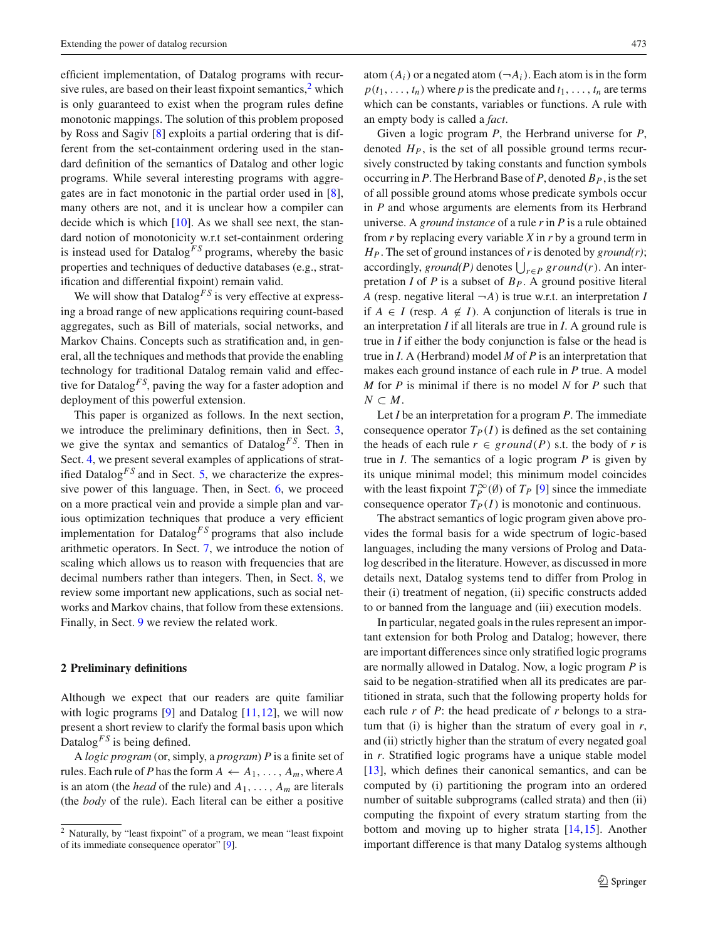efficient implementation, of Datalog programs with recursive rules, are based on their least fixpoint semantics, $\frac{2}{3}$  which is only guaranteed to exist when the program rules define monotonic mappings. The solution of this problem proposed by Ross and Sagiv [\[8](#page-22-6)] exploits a partial ordering that is different from the set-containment ordering used in the standard definition of the semantics of Datalog and other logic programs. While several interesting programs with aggregates are in fact monotonic in the partial order used in [\[8](#page-22-6)], many others are not, and it is unclear how a compiler can decide which is which [\[10](#page-22-7)]. As we shall see next, the standard notion of monotonicity w.r.t set-containment ordering is instead used for Datalog<sup>FS</sup> programs, whereby the basic properties and techniques of deductive databases (e.g., stratification and differential fixpoint) remain valid.

We will show that  $Datalog<sup>FS</sup>$  is very effective at expressing a broad range of new applications requiring count-based aggregates, such as Bill of materials, social networks, and Markov Chains. Concepts such as stratification and, in general, all the techniques and methods that provide the enabling technology for traditional Datalog remain valid and effective for Datalog<sup>*FS*</sup>, paving the way for a faster adoption and deployment of this powerful extension.

This paper is organized as follows. In the next section, we introduce the preliminary definitions, then in Sect. [3,](#page-3-1) we give the syntax and semantics of Datalog<sup>FS</sup>. Then in Sect. [4,](#page-6-0) we present several examples of applications of stratified Datalog<sup>*FS*</sup> and in Sect. [5,](#page-8-0) we characterize the expressive power of this language. Then, in Sect. [6,](#page-10-0) we proceed on a more practical vein and provide a simple plan and various optimization techniques that produce a very efficient implementation for Datalog<sup> $FS$ </sup> programs that also include arithmetic operators. In Sect. [7,](#page-13-0) we introduce the notion of scaling which allows us to reason with frequencies that are decimal numbers rather than integers. Then, in Sect. [8,](#page-15-0) we review some important new applications, such as social networks and Markov chains, that follow from these extensions. Finally, in Sect. [9](#page-18-0) we review the related work.

### <span id="page-2-0"></span>**2 Preliminary definitions**

Although we expect that our readers are quite familiar with logic programs  $[9]$  $[9]$  and Datalog  $[11,12]$  $[11,12]$  $[11,12]$ , we will now present a short review to clarify the formal basis upon which Datalog<sup>*FS*</sup> is being defined.

A *logic program* (or, simply, a *program*) *P* is a finite set of rules. Each rule of *P* has the form  $A \leftarrow A_1, \ldots, A_m$ , where *A* is an atom (the *head* of the rule) and *A*1,..., *Am* are literals (the *body* of the rule). Each literal can be either a positive

atom  $(A_i)$  or a negated atom  $(\neg A_i)$ . Each atom is in the form  $p(t_1, \ldots, t_n)$  where *p* is the predicate and  $t_1, \ldots, t_n$  are terms which can be constants, variables or functions. A rule with an empty body is called a *fact*.

Given a logic program *P*, the Herbrand universe for *P*, denoted *HP*, is the set of all possible ground terms recursively constructed by taking constants and function symbols occurring in P. The Herbrand Base of P, denoted  $B_P$ , is the set of all possible ground atoms whose predicate symbols occur in *P* and whose arguments are elements from its Herbrand universe. A *ground instance* of a rule *r* in *P* is a rule obtained from *r* by replacing every variable *X* in *r* by a ground term in *HP*. The set of ground instances of*r*is denoted by *ground(r)*; accordingly, ground(P) denotes  $\bigcup_{r \in P}$  ground(r). An interpretation *I* of *P* is a subset of  $B_P$ . A ground positive literal *A* (resp. negative literal  $\neg A$ ) is true w.r.t. an interpretation *I* if *A* ∈ *I* (resp. *A* ∉ *I*). A conjunction of literals is true in an interpretation *I* if all literals are true in *I*. A ground rule is true in *I* if either the body conjunction is false or the head is true in *I*. A (Herbrand) model *M* of *P* is an interpretation that makes each ground instance of each rule in *P* true. A model *M* for *P* is minimal if there is no model *N* for *P* such that  $N$  ⊂  $M$ .

Let *I* be an interpretation for a program *P*. The immediate consequence operator  $T_P(I)$  is defined as the set containing the heads of each rule  $r \in ground(P)$  s.t. the body of *r* is true in *I*. The semantics of a logic program *P* is given by its unique minimal model; this minimum model coincides with the least fixpoint  $T_P^{\infty}(\emptyset)$  of  $T_P$  [\[9](#page-22-8)] since the immediate consequence operator  $T_P(I)$  is monotonic and continuous.

The abstract semantics of logic program given above provides the formal basis for a wide spectrum of logic-based languages, including the many versions of Prolog and Datalog described in the literature. However, as discussed in more details next, Datalog systems tend to differ from Prolog in their (i) treatment of negation, (ii) specific constructs added to or banned from the language and (iii) execution models.

In particular, negated goals in the rules represent an important extension for both Prolog and Datalog; however, there are important differences since only stratified logic programs are normally allowed in Datalog. Now, a logic program *P* is said to be negation-stratified when all its predicates are partitioned in strata, such that the following property holds for each rule *r* of *P*: the head predicate of *r* belongs to a stratum that (i) is higher than the stratum of every goal in *r*, and (ii) strictly higher than the stratum of every negated goal in *r*. Stratified logic programs have a unique stable model [\[13](#page-22-11)], which defines their canonical semantics, and can be computed by (i) partitioning the program into an ordered number of suitable subprograms (called strata) and then (ii) computing the fixpoint of every stratum starting from the bottom and moving up to higher strata [\[14](#page-22-12)[,15](#page-22-13)]. Another important difference is that many Datalog systems although

<span id="page-2-1"></span><sup>2</sup> Naturally, by "least fixpoint" of a program, we mean "least fixpoint of its immediate consequence operator" [\[9\]](#page-22-8).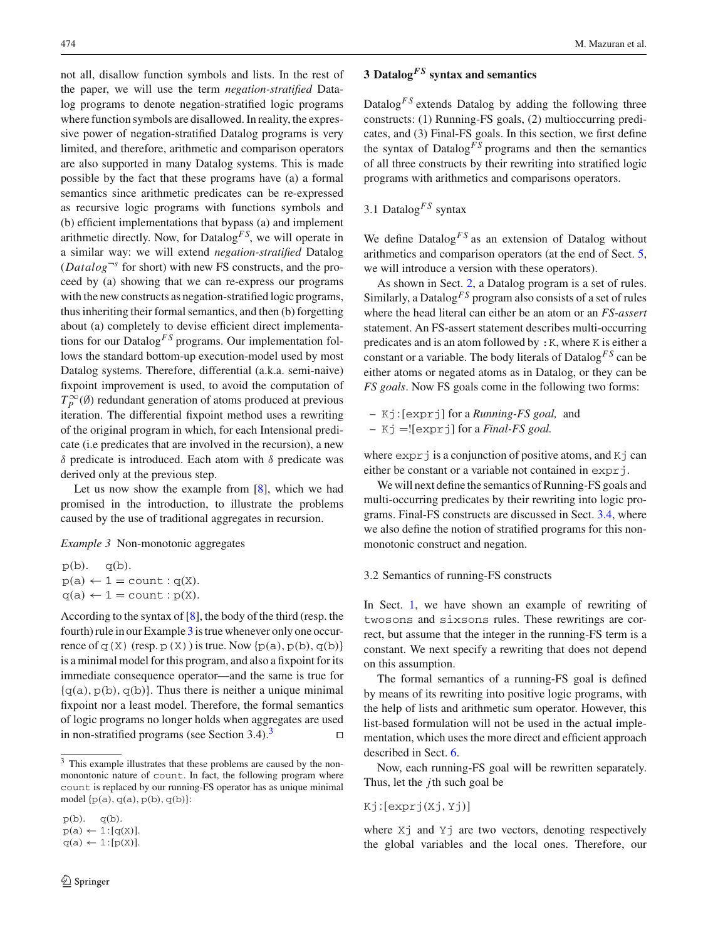not all, disallow function symbols and lists. In the rest of the paper, we will use the term *negation-stratified* Datalog programs to denote negation-stratified logic programs where function symbols are disallowed. In reality, the expressive power of negation-stratified Datalog programs is very limited, and therefore, arithmetic and comparison operators are also supported in many Datalog systems. This is made possible by the fact that these programs have (a) a formal semantics since arithmetic predicates can be re-expressed as recursive logic programs with functions symbols and (b) efficient implementations that bypass (a) and implement arithmetic directly. Now, for Datalog*F S*, we will operate in a similar way: we will extend *negation-stratified* Datalog  $(Datalog^{-s}$  for short) with new FS constructs, and the proceed by (a) showing that we can re-express our programs with the new constructs as negation-stratified logic programs, thus inheriting their formal semantics, and then (b) forgetting about (a) completely to devise efficient direct implementations for our Datalog<sup>FS</sup> programs. Our implementation follows the standard bottom-up execution-model used by most Datalog systems. Therefore, differential (a.k.a. semi-naive) fixpoint improvement is used, to avoid the computation of  $T_P^{\infty}(\emptyset)$  redundant generation of atoms produced at previous iteration. The differential fixpoint method uses a rewriting of the original program in which, for each Intensional predicate (i.e predicates that are involved in the recursion), a new δ predicate is introduced. Each atom with δ predicate was derived only at the previous step.

Let us now show the example from [\[8\]](#page-22-6), which we had promised in the introduction, to illustrate the problems caused by the use of traditional aggregates in recursion.

<span id="page-3-0"></span>*Example 3* Non-monotonic aggregates

 $p(b)$ .  $q(b)$ .  $p(a) \leftarrow 1 = \text{count} : q(X).$  $q(a) \leftarrow 1 = \text{count} : p(X).$ 

According to the syntax of [\[8\]](#page-22-6), the body of the third (resp. the fourth) rule in our Example [3](#page-3-0) is true whenever only one occurrence of q(X) (resp.  $p(X)$ ) is true. Now { $p(a)$ ,  $p(b)$ , q(b)} is a minimal model for this program, and also a fixpoint for its immediate consequence operator—and the same is true for  ${q(a), p(b), q(b)}$ . Thus there is neither a unique minimal fixpoint nor a least model. Therefore, the formal semantics of logic programs no longer holds when aggregates are used in non-stratified programs (see Section [3](#page-3-2).4).<sup>3</sup>

# <span id="page-3-1"></span>**3 Datalog***F S* **syntax and semantics**

Datalog<sup> $FS$ </sup> extends Datalog by adding the following three constructs: (1) Running-FS goals, (2) multioccurring predicates, and (3) Final-FS goals. In this section, we first define the syntax of Datalog<sup>FS</sup> programs and then the semantics of all three constructs by their rewriting into stratified logic programs with arithmetics and comparisons operators.

# 3.1 Datalog*F S* syntax

We define  $Datalog<sup>FS</sup>$  as an extension of Datalog without arithmetics and comparison operators (at the end of Sect. [5,](#page-8-0) we will introduce a version with these operators).

As shown in Sect. [2,](#page-2-0) a Datalog program is a set of rules. Similarly, a Datalog<sup>FS</sup> program also consists of a set of rules where the head literal can either be an atom or an *FS-assert* statement. An FS-assert statement describes multi-occurring predicates and is an atom followed by :K, where K is either a constant or a variable. The body literals of Datalog*F S* can be either atoms or negated atoms as in Datalog, or they can be *FS goals*. Now FS goals come in the following two forms:

– Kj: [exprj] for a *Running-FS goal,* and

– Kj =![exprj] for a *Final-FS goal.*

where  $\exp$ *x* $\frac{1}{2}$  is a conjunction of positive atoms, and K<sub>J</sub> can either be constant or a variable not contained in expr  $\vdots$ .

We will next define the semantics of Running-FS goals and multi-occurring predicates by their rewriting into logic programs. Final-FS constructs are discussed in Sect. [3.4,](#page-5-0) where we also define the notion of stratified programs for this nonmonotonic construct and negation.

3.2 Semantics of running-FS constructs

In Sect. [1,](#page-0-0) we have shown an example of rewriting of twosons and sixsons rules. These rewritings are correct, but assume that the integer in the running-FS term is a constant. We next specify a rewriting that does not depend on this assumption.

The formal semantics of a running-FS goal is defined by means of its rewriting into positive logic programs, with the help of lists and arithmetic sum operator. However, this list-based formulation will not be used in the actual implementation, which uses the more direct and efficient approach described in Sect. [6.](#page-10-0)

Now, each running-FS goal will be rewritten separately. Thus, let the *j*th such goal be

Kj: [exprj(Xj, Yj)]

where  $X_j$  and  $Y_j$  are two vectors, denoting respectively the global variables and the local ones. Therefore, our

<span id="page-3-2"></span><sup>&</sup>lt;sup>3</sup> This example illustrates that these problems are caused by the nonmonontonic nature of count. In fact, the following program where count is replaced by our running-FS operator has as unique minimal model  ${p(a), q(a), p(b), q(b)}$ :

 $p(b)$ .  $q(b)$ .

 $p(a) \leftarrow 1:[q(X)].$ 

 $q(a) \leftarrow 1:[p(X)].$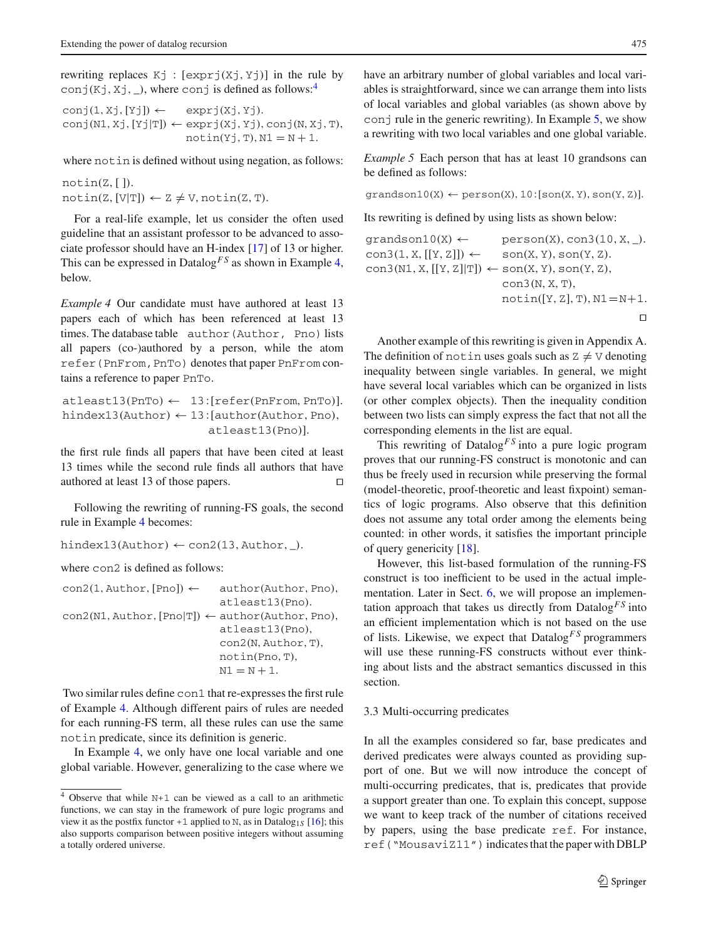rewriting replaces  $Kj : [\exp(Xi_j, Y_j)]$  in the rule by conj(Kj, Xj,  $\Box$ ), where conj is defined as follows:<sup>4</sup>

$$
conj(1,Xj,[Yj]) \leftarrow exprj(Xj,Yj).
$$
  
conj(N1,Xj,[Yj|T])  $\leftarrow exprj(Xj,Yj), conj(N,Xj,T),notin(Yj,T),N1 = N + 1.$ 

where notin is defined without using negation, as follows:

 $notin(Z, [$ ]).  $notin(Z, [V|T]) \leftarrow Z \neq V, notin(Z, T).$ 

For a real-life example, let us consider the often used guideline that an assistant professor to be advanced to associate professor should have an H-index [\[17\]](#page-22-14) of 13 or higher. This can be expressed in Datalog*F S* as shown in Example [4,](#page-4-1) below.

<span id="page-4-1"></span>*Example 4* Our candidate must have authored at least 13 papers each of which has been referenced at least 13 times. The database table author(Author, Pno) lists all papers (co-)authored by a person, while the atom refer(PnFrom,PnTo) denotes that paper PnFrom contains a reference to paper PnTo.

 $attleast13(PnTo) \leftarrow 13:[refer(PnFrom, PnTo)].$ hindex13(Author)  $\leftarrow$  13: [author(Author, Pno), atleast13(Pno)].

the first rule finds all papers that have been cited at least 13 times while the second rule finds all authors that have authored at least 13 of those papers.

Following the rewriting of running-FS goals, the second rule in Example [4](#page-4-1) becomes:

hindex13(Author)  $\leftarrow$  con2(13, Author,  $\_$ ).

where con2 is defined as follows:

| $con2(1, \text{Author}, [\text{Pno}]) \leftarrow$                                       | author(Author, Pno), |
|-----------------------------------------------------------------------------------------|----------------------|
|                                                                                         | atleast13(Pno).      |
| $con2(N1, \text{Author}, [\text{Pno} T]) \leftarrow author(\text{Author}, \text{Pno}),$ |                      |
|                                                                                         | atleast13(Pno).      |
|                                                                                         | con2(N, Author, T),  |
|                                                                                         | $notin(Pro, T)$ ,    |
|                                                                                         | $N1 = N + 1.$        |

Two similar rules define con1 that re-expresses the first rule of Example [4.](#page-4-1) Although different pairs of rules are needed for each running-FS term, all these rules can use the same notin predicate, since its definition is generic.

In Example [4,](#page-4-1) we only have one local variable and one global variable. However, generalizing to the case where we have an arbitrary number of global variables and local variables is straightforward, since we can arrange them into lists of local variables and global variables (as shown above by conj rule in the generic rewriting). In Example  $5$ , we show a rewriting with two local variables and one global variable.

<span id="page-4-2"></span>*Example 5* Each person that has at least 10 grandsons can be defined as follows:

 $gradson10(X) \leftarrow person(X), 10:[son(X, Y), son(Y, Z)].$ 

Its rewriting is defined by using lists as shown below:

```
gradson10(X) \leftarrow person(X), con3(10, X, _).
con3(1, X, [[Y, Z]]) \leftarrow \text{son}(X, Y), \text{son}(Y, Z).con3(N1, X, [[Y, Z] | T]) \leftarrow son(X, Y), son(Y, Z),con3(N, X, T),
                             notin([Y, Z], T), N1 = N+1.\Box
```
Another example of this rewriting is given in Appendix A. The definition of notinuses goals such as  $Z \neq V$  denoting inequality between single variables. In general, we might have several local variables which can be organized in lists (or other complex objects). Then the inequality condition between two lists can simply express the fact that not all the corresponding elements in the list are equal.

This rewriting of Datalog<sup>FS</sup> into a pure logic program proves that our running-FS construct is monotonic and can thus be freely used in recursion while preserving the formal (model-theoretic, proof-theoretic and least fixpoint) semantics of logic programs. Also observe that this definition does not assume any total order among the elements being counted: in other words, it satisfies the important principle of query genericity [\[18\]](#page-22-16).

However, this list-based formulation of the running-FS construct is too inefficient to be used in the actual implementation. Later in Sect. [6,](#page-10-0) we will propose an implementation approach that takes us directly from  $Datalog<sup>FS</sup>$  into an efficient implementation which is not based on the use of lists. Likewise, we expect that Datalog*F S* programmers will use these running-FS constructs without ever thinking about lists and the abstract semantics discussed in this section.

# <span id="page-4-3"></span>3.3 Multi-occurring predicates

In all the examples considered so far, base predicates and derived predicates were always counted as providing support of one. But we will now introduce the concept of multi-occurring predicates, that is, predicates that provide a support greater than one. To explain this concept, suppose we want to keep track of the number of citations received by papers, using the base predicate ref. For instance,  $ref("MousaviZ11")$  indicates that the paper with DBLP

<span id="page-4-0"></span><sup>4</sup> Observe that while N+1 can be viewed as a call to an arithmetic functions, we can stay in the framework of pure logic programs and view it as the postfix functor  $+1$  applied to N, as in Datalog<sub>1*S*</sub> [\[16\]](#page-22-15); this also supports comparison between positive integers without assuming a totally ordered universe.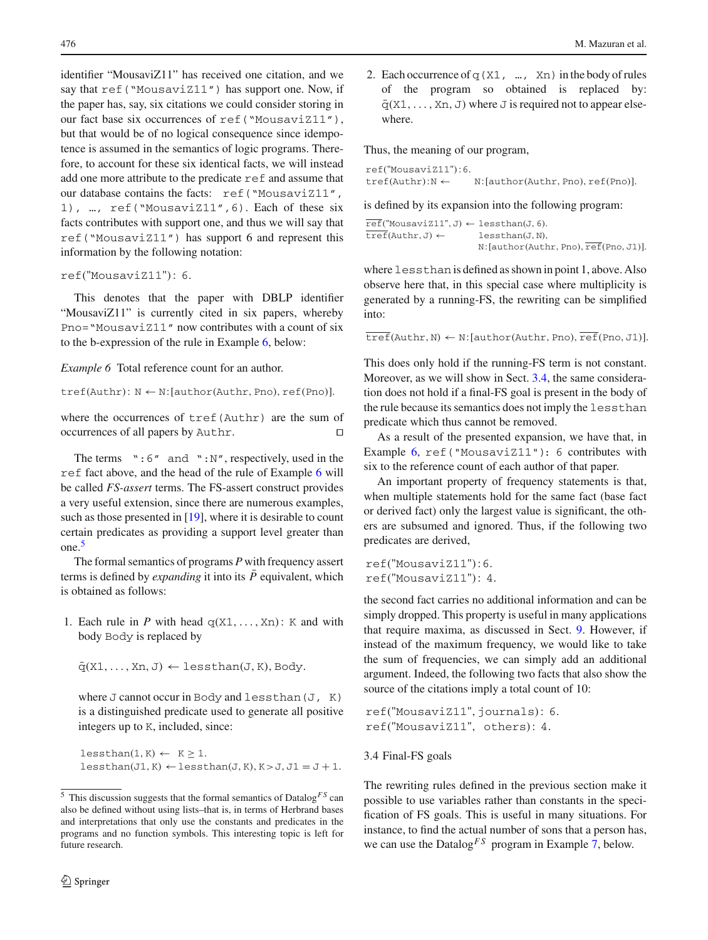identifier "MousaviZ11" has received one citation, and we say that ref("MousaviZ11") has support one. Now, if the paper has, say, six citations we could consider storing in our fact base six occurrences of ref("MousaviZ11"), but that would be of no logical consequence since idempotence is assumed in the semantics of logic programs. Therefore, to account for these six identical facts, we will instead add one more attribute to the predicate ref and assume that our database contains the facts: ref("MousaviZ11", 1), …, ref("MousaviZ11",6). Each of these six facts contributes with support one, and thus we will say that ref("MousaviZ11") has support 6 and represent this information by the following notation:

#### ref("MousaviZ11"): 6.

This denotes that the paper with DBLP identifier "MousaviZ11" is currently cited in six papers, whereby Pno="MousaviZ11" now contributes with a count of six to the b-expression of the rule in Example [6,](#page-5-1) below:

<span id="page-5-1"></span>*Example 6* Total reference count for an author.

 $tref(Authr): N \leftarrow N:[author(Authr, Pno), ref(Pno)].$ 

where the occurrences of tref(Authr) are the sum of occurrences of all papers by Authr.

The terms  $\cdot$  :6" and  $\cdot$  :N", respectively, used in the ref fact above, and the head of the rule of Example [6](#page-5-1) will be called *FS-assert* terms. The FS-assert construct provides a very useful extension, since there are numerous examples, such as those presented in [\[19](#page-22-17)], where it is desirable to count certain predicates as providing a support level greater than one.[5](#page-5-2)

The formal semantics of programs *P* with frequency assert terms is defined by *expanding* it into its *P* equivalent, which is obtained as follows:

1. Each rule in *P* with head  $q(X1,..., Xn)$ : K and with body Body is replaced by

 $\bar{q}(X1,\ldots,Xn,J) \leftarrow$  lessthan(J, K), Body.

where  $J$  cannot occur in Body and lessthan( $J$ , K) is a distinguished predicate used to generate all positive integers up to K, included, since:

```
less than(1, K) \leftarrow K \geq 1.less than (J1, K) \leftarrow less than (J, K), K > J, J1 = J + 1.
```
2. Each occurrence of  $q(X1, ..., Xn)$  in the body of rules of the program so obtained is replaced by:  $\bar{q}(X1,\ldots,Xn, J)$  where J is required not to appear elsewhere.

Thus, the meaning of our program,

```
ref("MousaviZ11"):6.
tref(Authr):N \leftarrow N:[author(Authr, Pno), ref(Pno)].
```
is defined by its expansion into the following program:

 $\overline{\text{ref}}$ ("MousaviZ11", J)  $\leftarrow$  lessthan(J, 6).  $\overline{\text{tref}}(\text{Author}, J) \leftarrow \text{less}(\text{John}, N),$ N: [author(Authr, Pno), ref(Pno, J1)].

where lessthan is defined as shown in point 1, above. Also observe here that, in this special case where multiplicity is generated by a running-FS, the rewriting can be simplified into:

 $\overline{\text{tref}}(\text{Author}, \text{N}) \leftarrow \text{N}: [\text{author}(\text{Author}, \text{Pno}), \overline{\text{ref}}(\text{Pno}, \text{J1})].$ 

This does only hold if the running-FS term is not constant. Moreover, as we will show in Sect. [3.4,](#page-5-0) the same consideration does not hold if a final-FS goal is present in the body of the rule because its semantics does not imply the lessthan predicate which thus cannot be removed.

As a result of the presented expansion, we have that, in Example [6,](#page-5-1) ref("MousaviZ11"): 6 contributes with six to the reference count of each author of that paper.

An important property of frequency statements is that, when multiple statements hold for the same fact (base fact or derived fact) only the largest value is significant, the others are subsumed and ignored. Thus, if the following two predicates are derived,

ref("MousaviZ11"):6. ref("MousaviZ11"): 4.

the second fact carries no additional information and can be simply dropped. This property is useful in many applications that require maxima, as discussed in Sect. [9.](#page-18-0) However, if instead of the maximum frequency, we would like to take the sum of frequencies, we can simply add an additional argument. Indeed, the following two facts that also show the source of the citations imply a total count of 10:

```
ref("MousaviZ11", journals): 6.
ref("MousaviZ11", others): 4.
```
#### <span id="page-5-0"></span>3.4 Final-FS goals

<span id="page-5-3"></span>The rewriting rules defined in the previous section make it possible to use variables rather than constants in the specification of FS goals. This is useful in many situations. For instance, to find the actual number of sons that a person has, we can use the Datalog<sup>*FS*</sup> program in Example [7,](#page-5-3) below.

<span id="page-5-2"></span><sup>5</sup> This discussion suggests that the formal semantics of Datalog*F S* can also be defined without using lists–that is, in terms of Herbrand bases and interpretations that only use the constants and predicates in the programs and no function symbols. This interesting topic is left for future research.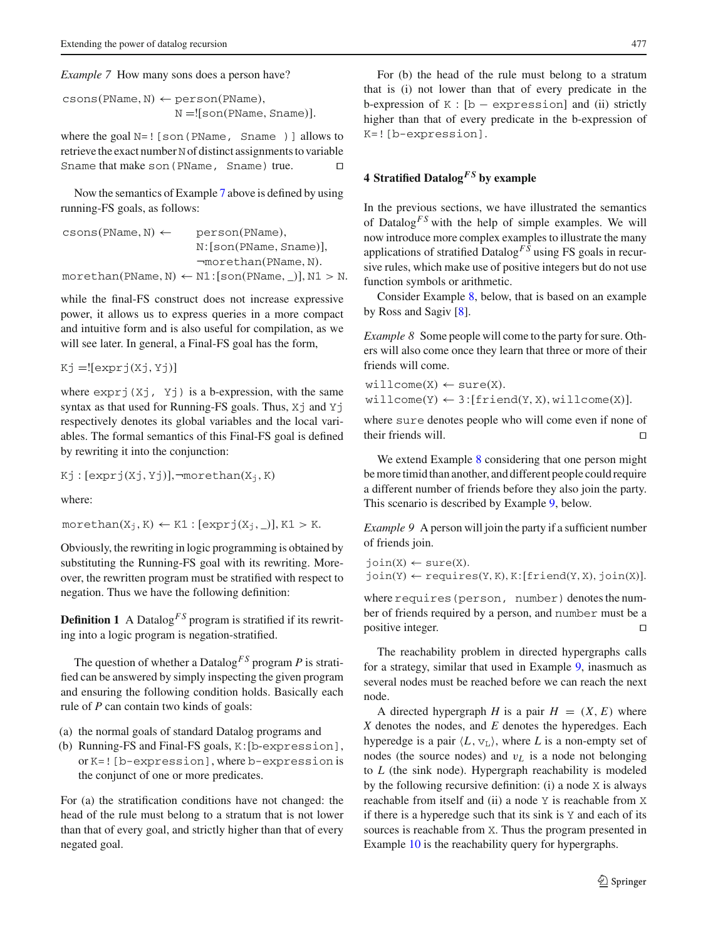*Example 7* How many sons does a person have?

 $\text{cosons}(\text{PName}, \text{N}) \leftarrow \text{person}(\text{PName}),$ N =![son(PName, Sname)].

where the goal  $N=$ ! [son(PName, Sname)] allows to retrieve the exact number N of distinct assignments to variable Sname that make son (PName, Sname) true.  $\square$ 

Now the semantics of Example [7](#page-5-3) above is defined by using running-FS goals, as follows:

 $\text{cosons}(\text{PMame}, \text{N}) \leftarrow \text{person}(\text{PMame})$ . N: [son(PName, Sname)], ¬morethan(PName, N).  $morethan(PName, N) \leftarrow N1:[son(PName, _)], N1 > N.$ 

while the final-FS construct does not increase expressive power, it allows us to express queries in a more compact and intuitive form and is also useful for compilation, as we will see later. In general, a Final-FS goal has the form,

 $Kj = [[exprj(Xj, Yj)]$ 

where  $\exp r j(Xj, Yj)$  is a b-expression, with the same syntax as that used for Running-FS goals. Thus,  $X^{\dagger}$  and  $Y^{\dagger}$ respectively denotes its global variables and the local variables. The formal semantics of this Final-FS goal is defined by rewriting it into the conjunction:

 $Kj : [exprj(Xj, Yj)], \neg morethan(X<sub>j</sub>, K)$ 

where:

 $morethan(X_j, K) \leftarrow K1 : [exprj(X_j, \_)], K1 > K.$ 

Obviously, the rewriting in logic programming is obtained by substituting the Running-FS goal with its rewriting. Moreover, the rewritten program must be stratified with respect to negation. Thus we have the following definition:

**Definition 1** A Datalog<sup>*FS*</sup> program is stratified if its rewriting into a logic program is negation-stratified.

The question of whether a Datalog<sup>FS</sup> program  $P$  is stratified can be answered by simply inspecting the given program and ensuring the following condition holds. Basically each rule of *P* can contain two kinds of goals:

- (a) the normal goals of standard Datalog programs and
- (b) Running-FS and Final-FS goals, K: [b-expression], or K=![b-expression], where b-expression is the conjunct of one or more predicates.

For (a) the stratification conditions have not changed: the head of the rule must belong to a stratum that is not lower than that of every goal, and strictly higher than that of every negated goal.

For (b) the head of the rule must belong to a stratum that is (i) not lower than that of every predicate in the b-expression of  $K : [b - \text{expression}]$  and (ii) strictly higher than that of every predicate in the b-expression of K=![b-expression].

# <span id="page-6-0"></span>**4 Stratified Datalog***F S* **by example**

In the previous sections, we have illustrated the semantics of Datalog<sup> $FS$ </sup> with the help of simple examples. We will now introduce more complex examples to illustrate the many applications of stratified Datalog*F S* using FS goals in recursive rules, which make use of positive integers but do not use function symbols or arithmetic.

<span id="page-6-1"></span>Consider Example [8,](#page-6-1) below, that is based on an example by Ross and Sagiv [\[8\]](#page-22-6).

*Example 8* Some people will come to the party for sure. Others will also come once they learn that three or more of their friends will come.

 $will come(X) \leftarrow sure(X).$  $will come(Y) \leftarrow 3: [friend(Y, X), will come(X)].$ 

where sure denotes people who will come even if none of their friends will.

We extend Example [8](#page-6-1) considering that one person might be more timid than another, and different people could require a different number of friends before they also join the party. This scenario is described by Example [9,](#page-6-2) below.

<span id="page-6-2"></span>*Example 9* A person will join the party if a sufficient number of friends join.

```
join(X) \leftarrow sure(X).\text{join}(Y) \leftarrow \text{requires}(Y, K), K: [\text{friend}(Y, X), \text{join}(X)].
```
where requires (person, number) denotes the number of friends required by a person, and number must be a positive integer.

The reachability problem in directed hypergraphs calls for a strategy, similar that used in Example [9,](#page-6-2) inasmuch as several nodes must be reached before we can reach the next node.

<span id="page-6-3"></span>A directed hypergraph *H* is a pair  $H = (X, E)$  where *X* denotes the nodes, and *E* denotes the hyperedges. Each hyperedge is a pair  $\langle L, v_{\perp} \rangle$ , where *L* is a non-empty set of nodes (the source nodes) and v*L* is a node not belonging to *L* (the sink node). Hypergraph reachability is modeled by the following recursive definition: (i) a node X is always reachable from itself and (ii) a node Y is reachable from X if there is a hyperedge such that its sink is Y and each of its sources is reachable from X. Thus the program presented in Example [10](#page-6-3) is the reachability query for hypergraphs.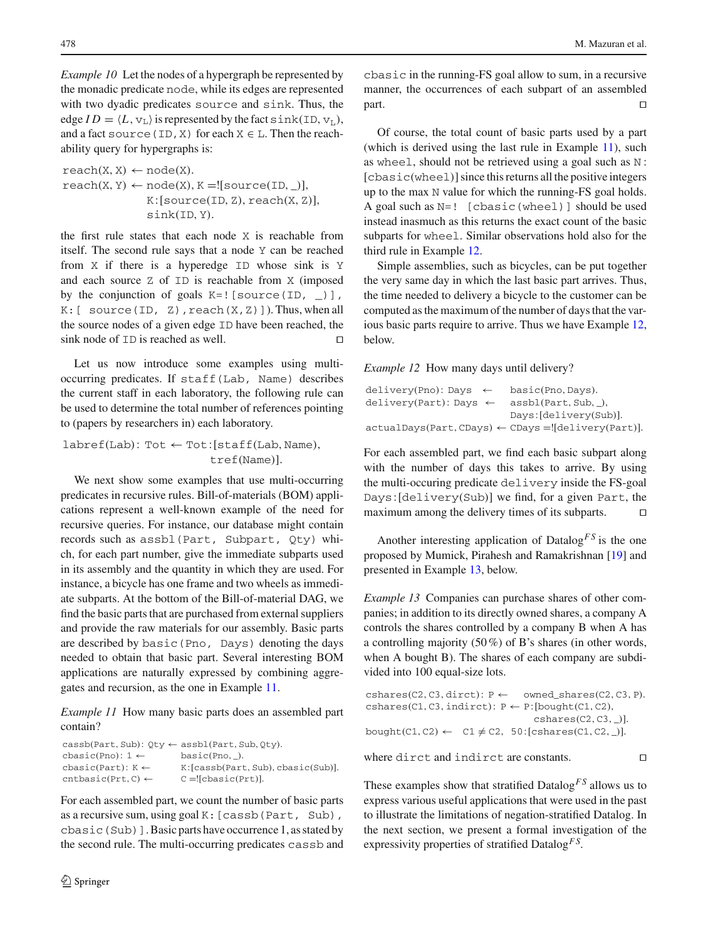*Example 10* Let the nodes of a hypergraph be represented by the monadic predicate node, while its edges are represented with two dyadic predicates source and sink. Thus, the edge  $ID = \langle L, v_L \rangle$  is represented by the fact sink(ID,  $v_L$ ), and a fact source (ID, X) for each  $X \in L$ . Then the reachability query for hypergraphs is:

 $reach(X, X) \leftarrow node(X).$  $reach(X, Y) \leftarrow node(X), K = ![source(ID, _)],$  $K: [\text{source}(\text{ID}, \text{Z}), \text{reach}(\text{X}, \text{Z})],$ sink(ID, Y).

the first rule states that each node X is reachable from itself. The second rule says that a node Y can be reached from X if there is a hyperedge ID whose sink is Y and each source Z of ID is reachable from X (imposed by the conjunction of goals  $K=$ ! [source(ID,  $)$ ],  $K:$  [ source(ID, Z), reach(X,Z)]). Thus, when all the source nodes of a given edge ID have been reached, the sink node of  $ID$  is reached as well.

Let us now introduce some examples using multioccurring predicates. If staff(Lab, Name) describes the current staff in each laboratory, the following rule can be used to determine the total number of references pointing to (papers by researchers in) each laboratory.

 $labref(Lab): Tot \leftarrow Tot:[statf(Lab, Name),$ tref(Name)].

We next show some examples that use multi-occurring predicates in recursive rules. Bill-of-materials (BOM) applications represent a well-known example of the need for recursive queries. For instance, our database might contain records such as assbl(Part, Subpart, Qty) which, for each part number, give the immediate subparts used in its assembly and the quantity in which they are used. For instance, a bicycle has one frame and two wheels as immediate subparts. At the bottom of the Bill-of-material DAG, we find the basic parts that are purchased from external suppliers and provide the raw materials for our assembly. Basic parts are described by basic(Pno, Days) denoting the days needed to obtain that basic part. Several interesting BOM applications are naturally expressed by combining aggregates and recursion, as the one in Example [11.](#page-7-0)

<span id="page-7-0"></span>*Example 11* How many basic parts does an assembled part contain?

| $\text{cas}$ b(Part, Sub): Oty $\leftarrow$ assbl(Part, Sub, Oty).     |
|------------------------------------------------------------------------|
| basic(Pro, ).                                                          |
| $K:[\text{cas}b(\text{Part}, \text{Sub}), \text{cbasic}(\text{Sub})].$ |
| $C =$ [cbasic(Prt)].                                                   |
|                                                                        |

For each assembled part, we count the number of basic parts as a recursive sum, using goal K:[cassb(Part, Sub), cbasic(Sub)]. Basic parts have occurrence 1, as stated by the second rule. The multi-occurring predicates cassb and cbasic in the running-FS goal allow to sum, in a recursive manner, the occurrences of each subpart of an assembled part.

Of course, the total count of basic parts used by a part (which is derived using the last rule in Example [11\)](#page-7-0), such as wheel, should not be retrieved using a goal such as N :  $[cbasic(wheel)]$  since this returns all the positive integers up to the max N value for which the running-FS goal holds. A goal such as N=! [cbasic(wheel)] should be used instead inasmuch as this returns the exact count of the basic subparts for wheel. Similar observations hold also for the third rule in Example [12.](#page-7-1)

Simple assemblies, such as bicycles, can be put together the very same day in which the last basic part arrives. Thus, the time needed to delivery a bicycle to the customer can be computed as the maximum of the number of days that the various basic parts require to arrive. Thus we have Example [12,](#page-7-1) below.

# <span id="page-7-1"></span>*Example 12* How many days until delivery?

| $delivery(Pro):$ Days $\leftarrow$                            | basic(Pno, Days).      |
|---------------------------------------------------------------|------------------------|
| $delivery(Part)$ : Days $\leftarrow$                          | assbl(Part, Sub, ),    |
|                                                               | Days: [delivery(Sub)]. |
| $actualdays(Part, CDays) \leftarrow CDays = ![delayc(Part)].$ |                        |

For each assembled part, we find each basic subpart along with the number of days this takes to arrive. By using the multi-occuring predicate delivery inside the FS-goal Days: [delivery(Sub)] we find, for a given Part, the maximum among the delivery times of its subparts.

Another interesting application of Datalog<sup>FS</sup> is the one proposed by Mumick, Pirahesh and Ramakrishnan [\[19\]](#page-22-17) and presented in Example [13,](#page-7-2) below.

<span id="page-7-2"></span>*Example 13* Companies can purchase shares of other companies; in addition to its directly owned shares, a company A controls the shares controlled by a company B when A has a controlling majority (50%) of B's shares (in other words, when A bought B). The shares of each company are subdivided into 100 equal-size lots.

```
{\rm cshares(C2,C3,dirct)}: P \leftarrow {\rm owned\_shares(C2,C3,P)}.
\text{cshares}(C1, C3, \text{indirect}): P \leftarrow P: [bought(C1, C2),
                                           cshares(C2, C3, \_)].bought(C1, C2) \leftarrow C1 \neq C2, 50:[cshares(C1, C2, \_)].
```
where dirct and indirct are constants.  $\square$ 

These examples show that stratified Datalog*F S* allows us to express various useful applications that were used in the past to illustrate the limitations of negation-stratified Datalog. In the next section, we present a formal investigation of the expressivity properties of stratified Datalog*F S*.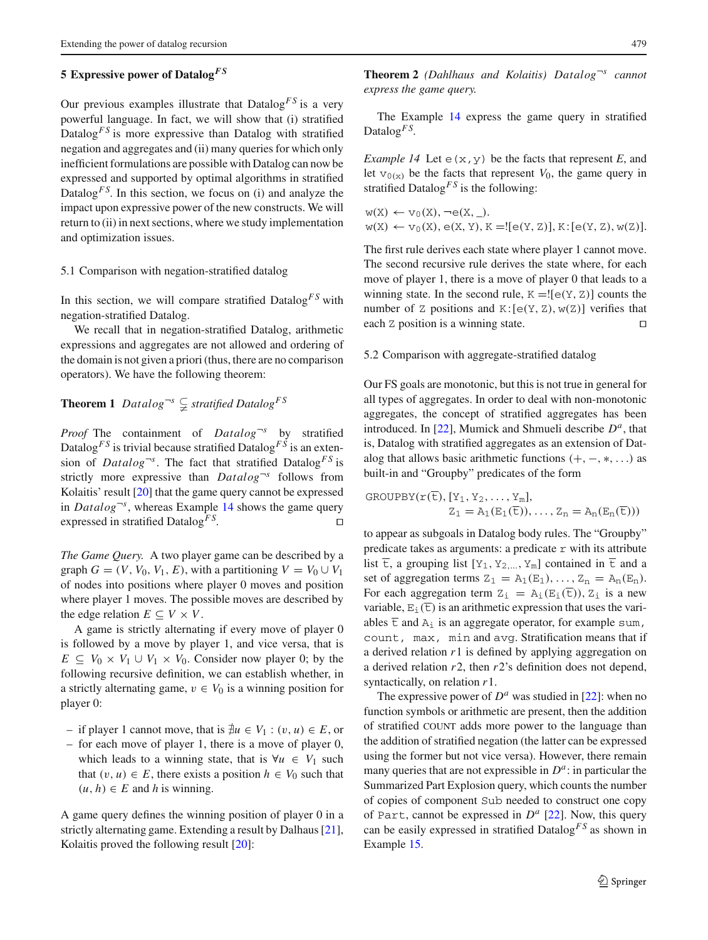# <span id="page-8-0"></span>**5 Expressive power of Datalog***F S*

Our previous examples illustrate that  $Datalog<sup>FS</sup>$  is a very powerful language. In fact, we will show that (i) stratified Datalog<sup>*FS*</sup> is more expressive than Datalog with stratified negation and aggregates and (ii) many queries for which only inefficient formulations are possible with Datalog can now be expressed and supported by optimal algorithms in stratified Datalog<sup>*FS*</sup>. In this section, we focus on (i) and analyze the impact upon expressive power of the new constructs. We will return to (ii) in next sections, where we study implementation and optimization issues.

### 5.1 Comparison with negation-stratified datalog

In this section, we will compare stratified  $Datalog<sup>FS</sup>$  with negation-stratified Datalog.

We recall that in negation-stratified Datalog, arithmetic expressions and aggregates are not allowed and ordering of the domain is not given a priori (thus, there are no comparison operators). We have the following theorem:

# **Theorem 1**  $Datalog^{-s} \subsetneq$  stratified Datalog<sup>FS</sup>

*Proof* The containment of *Datalog*¬*<sup>s</sup>* by stratified Datalog<sup>*FS*</sup> is trivial because stratified Datalog<sup>*FS*</sup> is an extension of *Datalog*<sup> $\sim$ *s*</sup>. The fact that stratified Datalog<sup>*FS*</sup> is strictly more expressive than *Datalog*<sup> $\neg$ *s*</sup> follows from Kolaitis' result [\[20](#page-22-18)] that the game query cannot be expressed in *Datalog*<sup> $\sim$ *s*</sup>, whereas Example [14](#page-8-1) shows the game query expressed in stratified Datalog<sup>*FS*</sup>. □

*The Game Query.* A two player game can be described by a graph  $G = (V, V_0, V_1, E)$ , with a partitioning  $V = V_0 \cup V_1$ of nodes into positions where player 0 moves and position where player 1 moves. The possible moves are described by the edge relation  $E \subseteq V \times V$ .

A game is strictly alternating if every move of player 0 is followed by a move by player 1, and vice versa, that is  $E \subseteq V_0 \times V_1 \cup V_1 \times V_0$ . Consider now player 0; by the following recursive definition, we can establish whether, in a strictly alternating game,  $v \in V_0$  is a winning position for player 0:

- if player 1 cannot move, that is  $\neq u$  ∈  $V_1$  :  $(v, u)$  ∈  $E$ , or
- for each move of player 1, there is a move of player 0, which leads to a winning state, that is  $\forall u \in V_1$  such that  $(v, u) \in E$ , there exists a position  $h \in V_0$  such that  $(u, h) \in E$  and *h* is winning.

A game query defines the winning position of player 0 in a strictly alternating game. Extending a result by Dalhaus [\[21](#page-22-19)], Kolaitis proved the following result [\[20](#page-22-18)]:

**Theorem 2** *(Dahlhaus and Kolaitis) Datalog*¬*<sup>s</sup> cannot express the game query.*

<span id="page-8-1"></span>The Example [14](#page-8-1) express the game query in stratified Datalog<sup> $FS$ </sup>.

*Example 14* Let  $\in$   $(x, y)$  be the facts that represent *E*, and let  $v_{0(x)}$  be the facts that represent  $V_0$ , the game query in stratified Datalog<sup>FS</sup> is the following:

 $w(X) \leftarrow v_0(X), \neg e(X, \_).$  $w(X) \leftarrow v_0(X), e(X, Y), K = [[e(Y, Z)], K : [e(Y, Z), w(Z)].$ 

The first rule derives each state where player 1 cannot move. The second recursive rule derives the state where, for each move of player 1, there is a move of player 0 that leads to a winning state. In the second rule,  $K = [e(Y, Z)]$  counts the number of Z positions and  $K: [e(Y, Z), w(Z)]$  verifies that each Z position is a winning state.

# 5.2 Comparison with aggregate-stratified datalog

Our FS goals are monotonic, but this is not true in general for all types of aggregates. In order to deal with non-monotonic aggregates, the concept of stratified aggregates has been introduced. In [\[22\]](#page-22-20), Mumick and Shmueli describe *Da*, that is, Datalog with stratified aggregates as an extension of Datalog that allows basic arithmetic functions  $(+, -, *, \ldots)$  as built-in and "Groupby" predicates of the form

$$
GROUPBY(r(\overline{t}), [Y_1, Y_2, \dots, Y_m],
$$
  

$$
Z_1 = A_1(E_1(\overline{t})), \dots, Z_n = A_n(E_n(\overline{t})))
$$

to appear as subgoals in Datalog body rules. The "Groupby" predicate takes as arguments: a predicate  $r$  with its attribute list  $\overline{t}$ , a grouping list  $[Y_1, Y_2,..., Y_m]$  contained in  $\overline{t}$  and a set of aggregation terms  $Z_1 = A_1(E_1), \ldots, Z_n = A_n(E_n)$ . For each aggregation term  $Z_i = A_i(E_i(\overline{t}))$ ,  $Z_i$  is a new variable,  $E_i(\overline{t})$  is an arithmetic expression that uses the variables  $\overline{\text{t}}$  and  $A_i$  is an aggregate operator, for example sum, count, max, min and avg. Stratification means that if a derived relation *r*1 is defined by applying aggregation on a derived relation *r*2, then *r*2's definition does not depend, syntactically, on relation *r*1.

<span id="page-8-2"></span>The expressive power of  $D^a$  was studied in [\[22](#page-22-20)]: when no function symbols or arithmetic are present, then the addition of stratified COUNT adds more power to the language than the addition of stratified negation (the latter can be expressed using the former but not vice versa). However, there remain many queries that are not expressible in  $D^a$ : in particular the Summarized Part Explosion query, which counts the number of copies of component Sub needed to construct one copy of Part, cannot be expressed in  $D^a$  [\[22](#page-22-20)]. Now, this query can be easily expressed in stratified Datalog*F S* as shown in Example [15.](#page-8-2)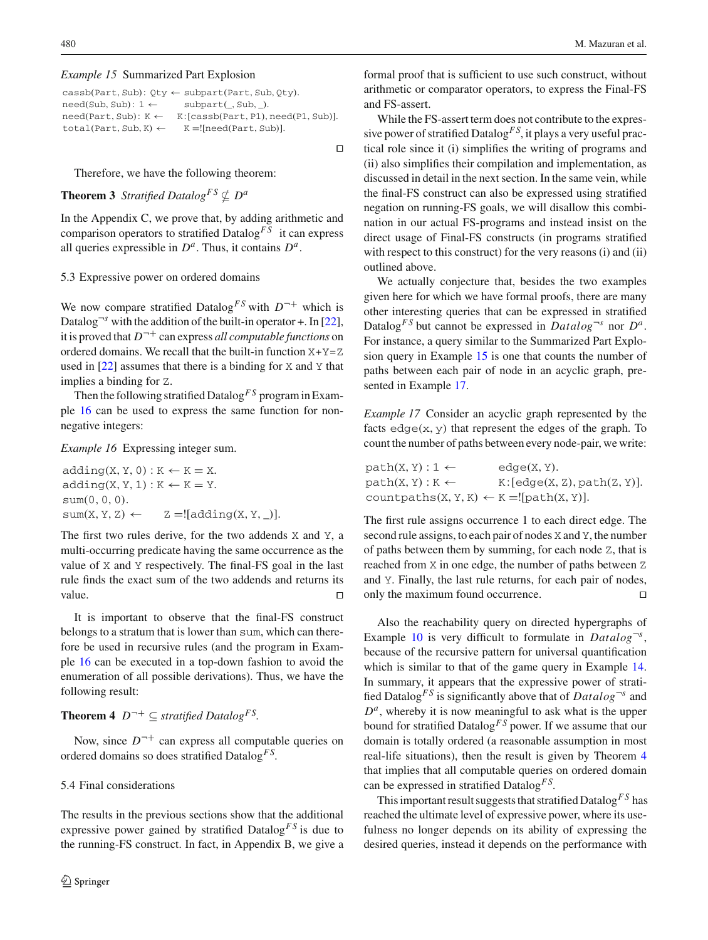#### *Example 15* Summarized Part Explosion

| $\text{cas}$ b(Part, Sub): Oty $\leftarrow$ subpart(Part, Sub, Oty). |                                      |  |
|----------------------------------------------------------------------|--------------------------------------|--|
| $need(Sub, Sub): 1 \leftarrow$                                       | $subpart($ , Sub, $).$               |  |
| $need(Part, Sub): K \leftarrow$                                      | K: [cassb(Part, P1), need(P1, Sub)]. |  |
| total(Part, Sub, K) $\leftarrow$                                     | $K =$ [need(Part, Sub)].             |  |

 $\Box$ 

Therefore, we have the following theorem:

# **Theorem 3** *Stratified Datalog*<sup>*FS*</sup>  $\nsubseteq$  *D<sup>a</sup>*

In the Appendix C, we prove that, by adding arithmetic and comparison operators to stratified Datalog<sup> $FS$ </sup> it can express all queries expressible in  $D^a$ . Thus, it contains  $D^a$ .

### 5.3 Expressive power on ordered domains

We now compare stratified Datalog<sup>FS</sup> with  $D^{-+}$  which is Datalog<sup> $\nu$ </sup>s with the addition of the built-in operator +. In [\[22](#page-22-20)], it is proved that  $D^{-+}$  can express *all computable functions* on ordered domains. We recall that the built-in function  $X+Y=Z$ used in [\[22](#page-22-20)] assumes that there is a binding for X and Y that implies a binding for Z.

Then the following stratified Datalog*F S* program in Example [16](#page-9-0) can be used to express the same function for nonnegative integers:

<span id="page-9-0"></span>*Example 16* Expressing integer sum.

 $adding(X, Y, 0) : K \leftarrow K = X.$  $adding(X, Y, 1) : K \leftarrow K = Y.$ sum(0, 0, 0).  $sum(X, Y, Z) \leftarrow Z =![adding(X, Y, ...)].$ 

The first two rules derive, for the two addends X and Y, a multi-occurring predicate having the same occurrence as the value of X and Y respectively. The final-FS goal in the last rule finds the exact sum of the two addends and returns its value.

It is important to observe that the final-FS construct belongs to a stratum that is lower than sum, which can therefore be used in recursive rules (and the program in Example [16](#page-9-0) can be executed in a top-down fashion to avoid the enumeration of all possible derivations). Thus, we have the following result:

<span id="page-9-2"></span>**Theorem 4**  $D^{-+} \subseteq$  *stratified Datalog*<sup>*FS*</sup>.

Now, since  $D^{-+}$  can express all computable queries on ordered domains so does stratified Datalog*F S*.

#### 5.4 Final considerations

The results in the previous sections show that the additional expressive power gained by stratified Datalog<sup>FS</sup> is due to the running-FS construct. In fact, in Appendix B, we give a

formal proof that is sufficient to use such construct, without arithmetic or comparator operators, to express the Final-FS and FS-assert.

While the FS-assert term does not contribute to the expressive power of stratified Datalog*F S*, it plays a very useful practical role since it (i) simplifies the writing of programs and (ii) also simplifies their compilation and implementation, as discussed in detail in the next section. In the same vein, while the final-FS construct can also be expressed using stratified negation on running-FS goals, we will disallow this combination in our actual FS-programs and instead insist on the direct usage of Final-FS constructs (in programs stratified with respect to this construct) for the very reasons (i) and (ii) outlined above.

We actually conjecture that, besides the two examples given here for which we have formal proofs, there are many other interesting queries that can be expressed in stratified Datalog<sup>*FS*</sup> but cannot be expressed in *Datalog*<sup> $\neg$ *s*</sup> nor *D<sup>a</sup>*. For instance, a query similar to the Summarized Part Explosion query in Example [15](#page-8-2) is one that counts the number of paths between each pair of node in an acyclic graph, presented in Example [17.](#page-9-1)

<span id="page-9-1"></span>*Example 17* Consider an acyclic graph represented by the facts  $edge(x, y)$  that represent the edges of the graph. To count the number of paths between every node-pair, we write:

$$
path(X, Y) : 1 \leftarrow \text{edge}(X, Y).
$$
\n
$$
path(X, Y) : K \leftarrow K : [edge(X, Z), path(Z, Y)].
$$
\n
$$
countpaths(X, Y, K) \leftarrow K = ![path(X, Y)].
$$

The first rule assigns occurrence 1 to each direct edge. The second rule assigns, to each pair of nodes X and Y, the number of paths between them by summing, for each node Z, that is reached from X in one edge, the number of paths between Z and Y. Finally, the last rule returns, for each pair of nodes, only the maximum found occurrence.

Also the reachability query on directed hypergraphs of Example [10](#page-6-3) is very difficult to formulate in  $Database^{\neg s}$ , because of the recursive pattern for universal quantification which is similar to that of the game query in Example [14.](#page-8-1) In summary, it appears that the expressive power of stratified Datalog<sup>*FS*</sup> is significantly above that of  $Datalog^{-s}$  and  $D^a$ , whereby it is now meaningful to ask what is the upper bound for stratified Datalog*F S* power. If we assume that our domain is totally ordered (a reasonable assumption in most real-life situations), then the result is given by Theorem [4](#page-9-2) that implies that all computable queries on ordered domain can be expressed in stratified Datalog*F S*.

This important result suggests that stratified Datalog*F S* has reached the ultimate level of expressive power, where its usefulness no longer depends on its ability of expressing the desired queries, instead it depends on the performance with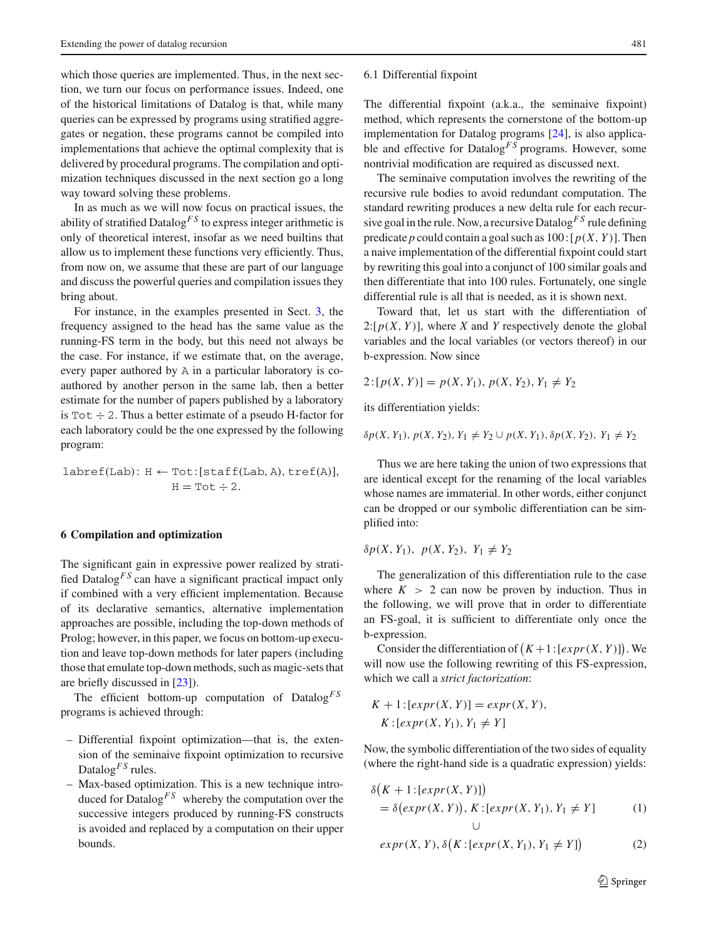which those queries are implemented. Thus, in the next section, we turn our focus on performance issues. Indeed, one of the historical limitations of Datalog is that, while many queries can be expressed by programs using stratified aggregates or negation, these programs cannot be compiled into implementations that achieve the optimal complexity that is delivered by procedural programs. The compilation and optimization techniques discussed in the next section go a long way toward solving these problems.

In as much as we will now focus on practical issues, the ability of stratified Datalog<sup>*FS*</sup> to express integer arithmetic is only of theoretical interest, insofar as we need builtins that allow us to implement these functions very efficiently. Thus, from now on, we assume that these are part of our language and discuss the powerful queries and compilation issues they bring about.

For instance, in the examples presented in Sect. [3,](#page-3-1) the frequency assigned to the head has the same value as the running-FS term in the body, but this need not always be the case. For instance, if we estimate that, on the average, every paper authored by A in a particular laboratory is coauthored by another person in the same lab, then a better estimate for the number of papers published by a laboratory is  $Tot \div 2$ . Thus a better estimate of a pseudo H-factor for each laboratory could be the one expressed by the following program:

$$
\texttt{labref}(\texttt{Lab})\colon H \leftarrow \texttt{Tot:}[\texttt{staff}(\texttt{Lab}, A), \texttt{tref}(A)],\\ H = \texttt{Tot} \div 2.
$$

#### <span id="page-10-0"></span>**6 Compilation and optimization**

The significant gain in expressive power realized by stratified Datalog<sup>FS</sup> can have a significant practical impact only if combined with a very efficient implementation. Because of its declarative semantics, alternative implementation approaches are possible, including the top-down methods of Prolog; however, in this paper, we focus on bottom-up execution and leave top-down methods for later papers (including those that emulate top-down methods, such as magic-sets that are briefly discussed in [\[23](#page-22-21)]).

The efficient bottom-up computation of Datalog<sup>FS</sup> programs is achieved through:

- Differential fixpoint optimization—that is, the extension of the seminaive fixpoint optimization to recursive Datalog<sup>*FS*</sup> rules.
- Max-based optimization. This is a new technique introduced for Datalog<sup>*FS*</sup> whereby the computation over the successive integers produced by running-FS constructs is avoided and replaced by a computation on their upper bounds.

#### <span id="page-10-2"></span>6.1 Differential fixpoint

The differential fixpoint (a.k.a., the seminaive fixpoint) method, which represents the cornerstone of the bottom-up implementation for Datalog programs [\[24\]](#page-22-22), is also applicable and effective for Datalog<sup>FS</sup> programs. However, some nontrivial modification are required as discussed next.

The seminaive computation involves the rewriting of the recursive rule bodies to avoid redundant computation. The standard rewriting produces a new delta rule for each recursive goal in the rule. Now, a recursive Datalog*F S* rule defining predicate *p* could contain a goal such as  $100: [p(X, Y)]$ . Then a naive implementation of the differential fixpoint could start by rewriting this goal into a conjunct of 100 similar goals and then differentiate that into 100 rules. Fortunately, one single differential rule is all that is needed, as it is shown next.

Toward that, let us start with the differentiation of  $2:[p(X, Y)]$ , where *X* and *Y* respectively denote the global variables and the local variables (or vectors thereof) in our b-expression. Now since

$$
2: [p(X, Y)] = p(X, Y_1), p(X, Y_2), Y_1 \neq Y_2
$$

its differentiation yields:

 $\delta p(X, Y_1), p(X, Y_2), Y_1 \neq Y_2 \cup p(X, Y_1), \delta p(X, Y_2), Y_1 \neq Y_2$ 

Thus we are here taking the union of two expressions that are identical except for the renaming of the local variables whose names are immaterial. In other words, either conjunct can be dropped or our symbolic differentiation can be simplified into:

$$
\delta p(X, Y_1), \ p(X, Y_2), \ Y_1 \neq Y_2
$$

The generalization of this differentiation rule to the case where  $K > 2$  can now be proven by induction. Thus in the following, we will prove that in order to differentiate an FS-goal, it is sufficient to differentiate only once the b-expression.

Consider the differentiation of  $(K+1:[\text{expr}(X, Y)])$ . We will now use the following rewriting of this FS-expression, which we call a *strict factorization*:

$$
K + 1: [expr(X, Y)] = expr(X, Y),
$$
  

$$
K: [expr(X, Y_1), Y_1 \neq Y]
$$

Now, the symbolic differentiation of the two sides of equality (where the right-hand side is a quadratic expression) yields:

<span id="page-10-1"></span>
$$
\delta\big(K+1:[\operatorname{expr}(X,Y)]\big) \n= \delta\big(\operatorname{expr}(X,Y)\big), K:[\operatorname{expr}(X,Y_1),Y_1 \neq Y] \tag{1}
$$

$$
expr(X, Y), \delta(K:[expr(X, Y_1), Y_1 \neq Y])
$$
\n(2)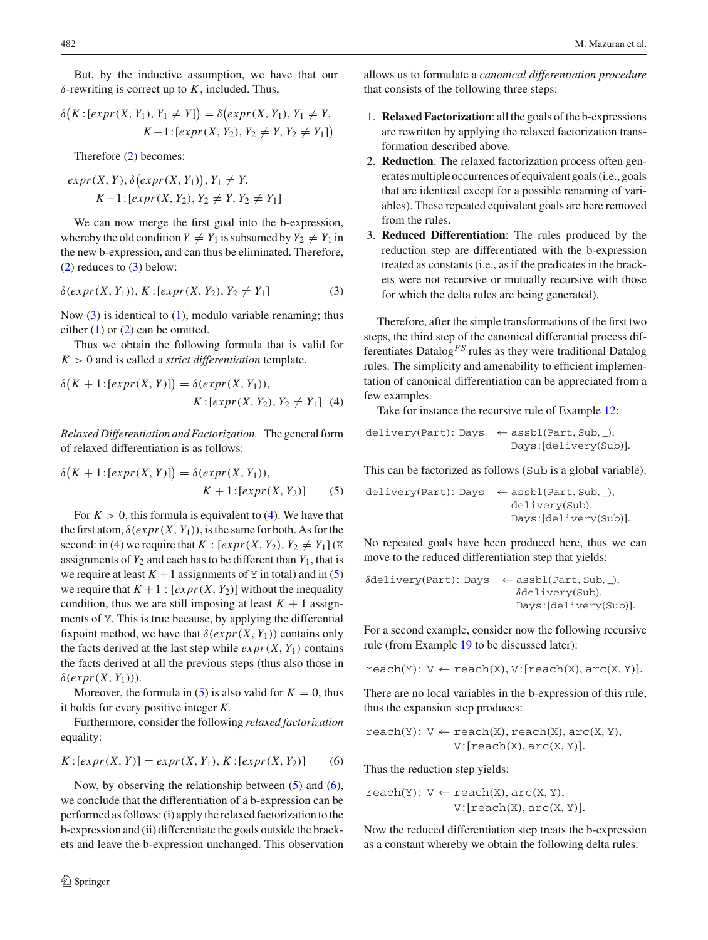But, by the inductive assumption, we have that our δ-rewriting is correct up to *K*, included. Thus,

$$
\delta\big(K\colon[\exp r(X, Y_1), Y_1 \neq Y]\big) = \delta\big(\exp r(X, Y_1), Y_1 \neq Y, \ K-1\colon[\exp r(X, Y_2), Y_2 \neq Y, Y_2 \neq Y_1]\big)
$$

Therefore [\(2\)](#page-10-1) becomes:

$$
expr(X, Y), \delta(exp(X, Y_1)), Y_1 \neq Y,
$$
  
 $K-1:[expr(X, Y_2), Y_2 \neq Y, Y_2 \neq Y_1]$ 

We can now merge the first goal into the b-expression, whereby the old condition  $Y \neq Y_1$  is subsumed by  $Y_2 \neq Y_1$  in the new b-expression, and can thus be eliminated. Therefore, [\(2\)](#page-10-1) reduces to [\(3\)](#page-11-0) below:

<span id="page-11-0"></span>
$$
\delta(expr(X, Y_1)), K: [expr(X, Y_2), Y_2 \neq Y_1]
$$
\n(3)

Now [\(3\)](#page-11-0) is identical to [\(1\)](#page-10-1), modulo variable renaming; thus either  $(1)$  or  $(2)$  can be omitted.

Thus we obtain the following formula that is valid for  $K > 0$  and is called a *strict differentiation* template.

<span id="page-11-1"></span>
$$
\delta(K+1:[expr(X,Y)]) = \delta(exp(X,Y_1)),
$$
  

$$
K:[expr(X,Y_2), Y_2 \neq Y_1] \quad (4)
$$

*Relaxed Differentiation and Factorization.* The general form of relaxed differentiation is as follows:

<span id="page-11-2"></span>
$$
\delta(K+1:[expr(X, Y)]) = \delta(expr(X, Y_1)),
$$
  

$$
K+1:[expr(X, Y_2)]
$$
 (5)

For  $K > 0$ , this formula is equivalent to [\(4\)](#page-11-1). We have that the first atom,  $\delta(exp(X, Y_1))$ , is the same for both. As for the second: in [\(4\)](#page-11-1) we require that  $K : [expr(X, Y_2), Y_2 \neq Y_1]$  (K assignments of  $Y_2$  and each has to be different than  $Y_1$ , that is we require at least  $K + 1$  assignments of Y in total) and in [\(5\)](#page-11-2) we require that  $K + 1$ :  $[expr(X, Y_2)]$  without the inequality condition, thus we are still imposing at least  $K + 1$  assignments of Y. This is true because, by applying the differential fixpoint method, we have that  $\delta(exp(X, Y_1))$  contains only the facts derived at the last step while  $expr(X, Y_1)$  contains the facts derived at all the previous steps (thus also those in  $\delta(exp(X, Y_1))$ .

Moreover, the formula in [\(5\)](#page-11-2) is also valid for  $K = 0$ , thus it holds for every positive integer *K*.

Furthermore, consider the following *relaxed factorization* equality:

<span id="page-11-3"></span>
$$
K: [expr(X, Y)] = expr(X, Y_1), K: [expr(X, Y_2)] \qquad (6)
$$

Now, by observing the relationship between  $(5)$  and  $(6)$ , we conclude that the differentiation of a b-expression can be performed as follows: (i) apply the relaxed factorization to the b-expression and (ii) differentiate the goals outside the brackets and leave the b-expression unchanged. This observation

 $\textcircled{2}$  Springer

allows us to formulate a *canonical differentiation procedure* that consists of the following three steps:

- 1. **Relaxed Factorization**: all the goals of the b-expressions are rewritten by applying the relaxed factorization transformation described above.
- 2. **Reduction**: The relaxed factorization process often generates multiple occurrences of equivalent goals (i.e., goals that are identical except for a possible renaming of variables). These repeated equivalent goals are here removed from the rules.
- 3. **Reduced Differentiation**: The rules produced by the reduction step are differentiated with the b-expression treated as constants (i.e., as if the predicates in the brackets were not recursive or mutually recursive with those for which the delta rules are being generated).

Therefore, after the simple transformations of the first two steps, the third step of the canonical differential process differentiates Datalog*F S* rules as they were traditional Datalog rules. The simplicity and amenability to efficient implementation of canonical differentiation can be appreciated from a few examples.

Take for instance the recursive rule of Example [12:](#page-7-1)

$$
\begin{aligned} \texttt{delivery}(\texttt{Part})\colon \texttt{Days} &\;\;\leftarrow \texttt{assbl}(\texttt{Part}, \texttt{Sub}, \_), \\ \texttt{Days}:[\texttt{delivery}(\texttt{Sub})]. \end{aligned}
$$

This can be factorized as follows (Sub is a global variable):

delivery(Part): Days ← assbl(Part, Sub, \_), delivery(Sub), Days: [delivery(Sub)].

No repeated goals have been produced here, thus we can move to the reduced differentiation step that yields:

$$
\delta \text{delivery(Part): Days} \leftarrow \text{assbl(Part, Sub, _),} \delta \text{delivery(Sub),} \\ \delta \text{delivery(Sub),} \\ \text{Days:[delivery(Sub)].}
$$

For a second example, consider now the following recursive rule (from Example [19](#page-14-0) to be discussed later):

 $reach(Y): V \leftarrow reach(X), V: [reach(X), arc(X, Y)].$ 

There are no local variables in the b-expression of this rule; thus the expansion step produces:

$$
reach(Y): V \leftarrow reach(X), reach(X), arc(X, Y),
$$
  
 $V:[reach(X), arc(X, Y)].$ 

Thus the reduction step yields:

$$
\texttt{reach}(Y)\colon V \leftarrow \texttt{reach}(X), \texttt{arc}(X, Y),\\ V:\texttt{[reach}(X), \texttt{arc}(X, Y)].
$$

Now the reduced differentiation step treats the b-expression as a constant whereby we obtain the following delta rules: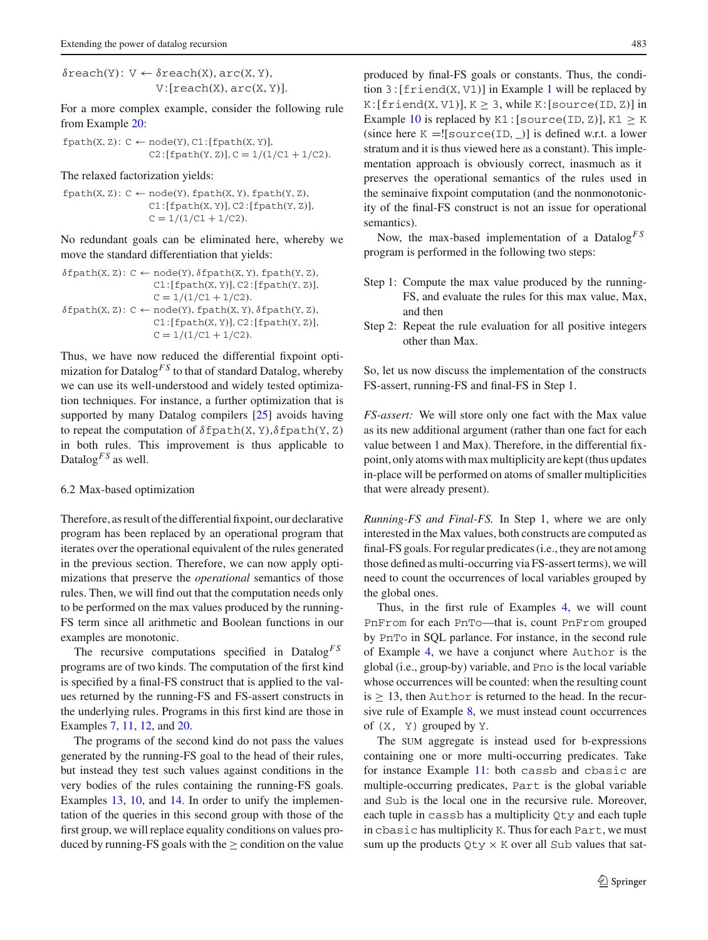$\delta$ reach(Y):  $V \leftarrow \delta$ reach(X), arc(X, Y),  $V: [reach(X), arc(X, Y)].$ 

For a more complex example, consider the following rule from Example [20:](#page-15-1)

 $fpath(X, Z): C \leftarrow node(Y), C1: [fpath(X, Y)],$  $C2:[fpath(Y, Z)], C = 1/(1/C1 + 1/C2).$ 

The relaxed factorization yields:

 $fpath(X, Z): C \leftarrow node(Y), fpath(X, Y), fpath(Y, Z),$  $C1:[fpath(X, Y)], C2:[fpath(Y, Z)],$  $C = 1/(1/C1 + 1/C2)$ .

No redundant goals can be eliminated here, whereby we move the standard differentiation that yields:

$$
\delta \text{fpath}(X, Z): C \leftarrow \text{node}(Y), \delta \text{fpath}(X, Y), \text{fpath}(Y, Z), \newline \text{Cl: [fpath(X, Y)], C2: [fpath(Y, Z)], } \newline \text{C = } 1/(1/C1 + 1/C2). \newline \delta \text{fpath}(X, Z): C \leftarrow \text{node}(Y), \text{fpath}(X, Y), \delta \text{fpath}(Y, Z), \newline \text{Cl: [fpath(X, Y)], C2: [fpath(Y, Z)], } \newline \text{C = } 1/(1/C1 + 1/C2).
$$

Thus, we have now reduced the differential fixpoint optimization for Datalog<sup>*FS*</sup> to that of standard Datalog, whereby we can use its well-understood and widely tested optimization techniques. For instance, a further optimization that is supported by many Datalog compilers [\[25\]](#page-22-23) avoids having to repeat the computation of  $\delta$  fpath $(X, Y)$ ,  $\delta$  fpath $(Y, Z)$ in both rules. This improvement is thus applicable to Datalog<sup>*FS*</sup> as well.

#### <span id="page-12-0"></span>6.2 Max-based optimization

Therefore, as result of the differential fixpoint, our declarative program has been replaced by an operational program that iterates over the operational equivalent of the rules generated in the previous section. Therefore, we can now apply optimizations that preserve the *operational* semantics of those rules. Then, we will find out that the computation needs only to be performed on the max values produced by the running-FS term since all arithmetic and Boolean functions in our examples are monotonic.

The recursive computations specified in Datalog<sup>FS</sup> programs are of two kinds. The computation of the first kind is specified by a final-FS construct that is applied to the values returned by the running-FS and FS-assert constructs in the underlying rules. Programs in this first kind are those in Examples [7,](#page-5-3) [11,](#page-7-0) [12,](#page-7-1) and [20.](#page-15-1)

The programs of the second kind do not pass the values generated by the running-FS goal to the head of their rules, but instead they test such values against conditions in the very bodies of the rules containing the running-FS goals. Examples [13,](#page-7-2) [10,](#page-6-3) and [14.](#page-8-1) In order to unify the implementation of the queries in this second group with those of the first group, we will replace equality conditions on values produced by running-FS goals with the  $\geq$  condition on the value produced by final-FS goals or constants. Thus, the condition  $3: [f$ riend(X, V[1](#page-1-2))] in Example 1 will be replaced by  $K: [friend(X, V1)], K > 3, while K: [source(ID, Z)] in$ Example [10](#page-6-3) is replaced by  $K1$  : [source(ID, Z)],  $K1 > K$ (since here  $K = |$ [source(ID, )] is defined w.r.t. a lower stratum and it is thus viewed here as a constant). This implementation approach is obviously correct, inasmuch as it preserves the operational semantics of the rules used in the seminaive fixpoint computation (and the nonmonotonicity of the final-FS construct is not an issue for operational semantics).

Now, the max-based implementation of a Datalog*F S* program is performed in the following two steps:

- Step 1: Compute the max value produced by the running-FS, and evaluate the rules for this max value, Max, and then
- Step 2: Repeat the rule evaluation for all positive integers other than Max.

So, let us now discuss the implementation of the constructs FS-assert, running-FS and final-FS in Step 1.

*FS-assert:* We will store only one fact with the Max value as its new additional argument (rather than one fact for each value between 1 and Max). Therefore, in the differential fixpoint, only atoms with max multiplicity are kept (thus updates in-place will be performed on atoms of smaller multiplicities that were already present).

*Running-FS and Final-FS.* In Step 1, where we are only interested in the Max values, both constructs are computed as final-FS goals. For regular predicates (i.e., they are not among those defined as multi-occurring via FS-assert terms), we will need to count the occurrences of local variables grouped by the global ones.

Thus, in the first rule of Examples [4,](#page-4-1) we will count PnFrom for each PnTo—that is, count PnFrom grouped by PnTo in SQL parlance. For instance, in the second rule of Example [4,](#page-4-1) we have a conjunct where Author is the global (i.e., group-by) variable, and Pno is the local variable whose occurrences will be counted: when the resulting count is  $\geq$  13, then Author is returned to the head. In the recursive rule of Example [8,](#page-6-1) we must instead count occurrences of  $(X, Y)$  grouped by  $Y$ .

The sum aggregate is instead used for b-expressions containing one or more multi-occurring predicates. Take for instance Example [11:](#page-7-0) both cassb and cbasic are multiple-occurring predicates, Part is the global variable and Sub is the local one in the recursive rule. Moreover, each tuple in cassb has a multiplicity Qty and each tuple in cbasic has multiplicity K. Thus for each Part, we must sum up the products  $Qty \times K$  over all Sub values that sat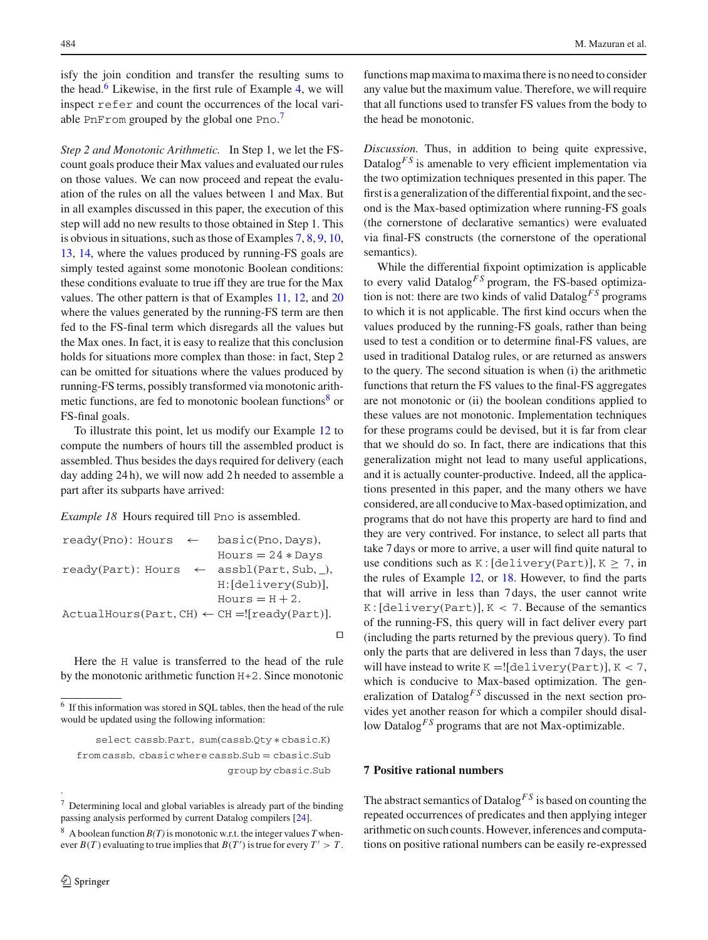isfy the join condition and transfer the resulting sums to the head. $6$  Likewise, in the first rule of Example [4,](#page-4-1) we will inspect refer and count the occurrences of the local vari-able PnFrom grouped by the global one Pno.<sup>[7](#page-13-2)</sup>

*Step 2 and Monotonic Arithmetic.* In Step 1, we let the FScount goals produce their Max values and evaluated our rules on those values. We can now proceed and repeat the evaluation of the rules on all the values between 1 and Max. But in all examples discussed in this paper, the execution of this step will add no new results to those obtained in Step 1. This is obvious in situations, such as those of Examples [7,](#page-5-3) [8,](#page-6-1) [9,](#page-6-2) [10,](#page-6-3) [13,](#page-7-2) [14,](#page-8-1) where the values produced by running-FS goals are simply tested against some monotonic Boolean conditions: these conditions evaluate to true iff they are true for the Max values. The other pattern is that of Examples [11,](#page-7-0) [12,](#page-7-1) and [20](#page-15-1) where the values generated by the running-FS term are then fed to the FS-final term which disregards all the values but the Max ones. In fact, it is easy to realize that this conclusion holds for situations more complex than those: in fact, Step 2 can be omitted for situations where the values produced by running-FS terms, possibly transformed via monotonic arithmetic functions, are fed to monotonic boolean functions<sup>8</sup> or FS-final goals.

To illustrate this point, let us modify our Example [12](#page-7-1) to compute the numbers of hours till the assembled product is assembled. Thus besides the days required for delivery (each day adding 24 h), we will now add 2 h needed to assemble a part after its subparts have arrived:

<span id="page-13-4"></span>*Example 18* Hours required till Pno is assembled.

```
ready(Pno): Hours \leftarrow basic(Pno,Days),Hours = 24 * Daysready(Part): Hours \leftarrow assb1(Part, Sub, ...)H: [delivery(Sub)],
                           Hours = H + 2.ActualHours(Part, CH) \leftarrow CH = |[ready(Part)].
```
Here the H value is transferred to the head of the rule by the monotonic arithmetic function H+2. Since monotonic

.

functions map maxima to maxima there is no need to consider any value but the maximum value. Therefore, we will require that all functions used to transfer FS values from the body to the head be monotonic.

*Discussion.* Thus, in addition to being quite expressive, Datalog<sup>*FS*</sup> is amenable to very efficient implementation via the two optimization techniques presented in this paper. The first is a generalization of the differential fixpoint, and the second is the Max-based optimization where running-FS goals (the cornerstone of declarative semantics) were evaluated via final-FS constructs (the cornerstone of the operational semantics).

While the differential fixpoint optimization is applicable to every valid Datalog<sup>FS</sup> program, the FS-based optimization is not: there are two kinds of valid Datalog*F S* programs to which it is not applicable. The first kind occurs when the values produced by the running-FS goals, rather than being used to test a condition or to determine final-FS values, are used in traditional Datalog rules, or are returned as answers to the query. The second situation is when (i) the arithmetic functions that return the FS values to the final-FS aggregates are not monotonic or (ii) the boolean conditions applied to these values are not monotonic. Implementation techniques for these programs could be devised, but it is far from clear that we should do so. In fact, there are indications that this generalization might not lead to many useful applications, and it is actually counter-productive. Indeed, all the applications presented in this paper, and the many others we have considered, are all conducive to Max-based optimization, and programs that do not have this property are hard to find and they are very contrived. For instance, to select all parts that take 7 days or more to arrive, a user will find quite natural to use conditions such as K: [delivery(Part)],  $K \ge 7$ , in the rules of Example [12,](#page-7-1) or [18.](#page-13-4) However, to find the parts that will arrive in less than 7 days, the user cannot write  $K: [delivery(Part)], K < 7$ . Because of the semantics of the running-FS, this query will in fact deliver every part (including the parts returned by the previous query). To find only the parts that are delivered in less than 7 days, the user will have instead to write  $K = \{ [delivery(Part)], K < 7,$ which is conducive to Max-based optimization. The generalization of Datalog<sup>FS</sup> discussed in the next section provides yet another reason for which a compiler should disallow Datalog<sup>FS</sup> programs that are not Max-optimizable.

# <span id="page-13-0"></span>**7 Positive rational numbers**

 $\Box$ 

The abstract semantics of Datalog<sup>FS</sup> is based on counting the repeated occurrences of predicates and then applying integer arithmetic on such counts. However, inferences and computations on positive rational numbers can be easily re-expressed

<span id="page-13-1"></span><sup>6</sup> If this information was stored in SQL tables, then the head of the rule would be updated using the following information:

select cassb.Part, sum(cassb.Qty ∗ cbasic.K) from cassb, cbasic where cassb.Sub = cbasic.Sub group by cbasic.Sub

<span id="page-13-2"></span><sup>7</sup> Determining local and global variables is already part of the binding passing analysis performed by current Datalog compilers [\[24\]](#page-22-22).

<span id="page-13-3"></span><sup>&</sup>lt;sup>8</sup> A boolean function  $B(T)$  is monotonic w.r.t. the integer values T whenever  $B(T)$  evaluating to true implies that  $B(T')$  is true for every  $T' > T$ .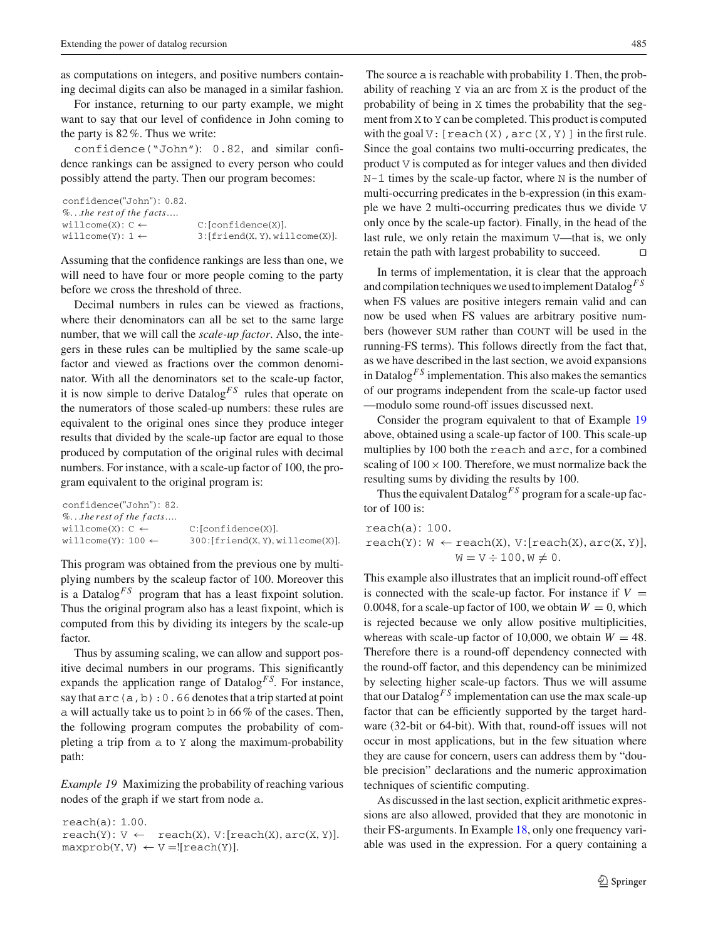as computations on integers, and positive numbers containing decimal digits can also be managed in a similar fashion.

For instance, returning to our party example, we might want to say that our level of confidence in John coming to the party is 82%. Thus we write:

confidence("John"): 0.82, and similar confidence rankings can be assigned to every person who could possibly attend the party. Then our program becomes:

```
confidence("John"): 0.82.
%...the rest of the f acts….
willcome(X): C \leftarrow C:[\text{confidence}(X)].willcome(Y): 1 \leftarrow 3: [friend(X, Y), willcome(X)].
```
Assuming that the confidence rankings are less than one, we will need to have four or more people coming to the party before we cross the threshold of three.

Decimal numbers in rules can be viewed as fractions, where their denominators can all be set to the same large number, that we will call the *scale-up factor*. Also, the integers in these rules can be multiplied by the same scale-up factor and viewed as fractions over the common denominator. With all the denominators set to the scale-up factor, it is now simple to derive Datalog<sup> $FS$ </sup> rules that operate on the numerators of those scaled-up numbers: these rules are equivalent to the original ones since they produce integer results that divided by the scale-up factor are equal to those produced by computation of the original rules with decimal numbers. For instance, with a scale-up factor of 100, the program equivalent to the original program is:

```
confidence("John"): 82.
%...the rest of the f acts….
willcome(X): C \leftarrow C: [confidence(X)].\texttt{wilcome}(Y): 100 \leftarrow 300: [\text{friend}(X, Y), \text{willcome}(X)].
```
This program was obtained from the previous one by multiplying numbers by the scaleup factor of 100. Moreover this is a Datalog<sup> $FS$ </sup> program that has a least fixpoint solution. Thus the original program also has a least fixpoint, which is computed from this by dividing its integers by the scale-up factor.

Thus by assuming scaling, we can allow and support positive decimal numbers in our programs. This significantly expands the application range of Datalog<sup>FS</sup>. For instance, say that  $\text{arc}(a,b):0.66$  denotes that a trip started at point a will actually take us to point b in  $66\%$  of the cases. Then, the following program computes the probability of completing a trip from a to Y along the maximum-probability path:

<span id="page-14-0"></span>*Example 19* Maximizing the probability of reaching various nodes of the graph if we start from node a.

reach(a): 1.00.  $reach(Y): V \leftarrow reach(X), V:[reach(X), arc(X, Y)].$  $maxprob(Y, V) \leftarrow V = ![reach(Y)].$ 

The source a is reachable with probability 1. Then, the probability of reaching Y via an arc from X is the product of the probability of being in X times the probability that the segment from X to Y can be completed. This product is computed with the goal  $V:$  [reach(X), arc(X, Y)] in the first rule. Since the goal contains two multi-occurring predicates, the product V is computed as for integer values and then divided N-1 times by the scale-up factor, where N is the number of multi-occurring predicates in the b-expression (in this example we have 2 multi-occurring predicates thus we divide V only once by the scale-up factor). Finally, in the head of the last rule, we only retain the maximum V—that is, we only retain the path with largest probability to succeed.

In terms of implementation, it is clear that the approach and compilation techniques we used to implement Datalog*F S* when FS values are positive integers remain valid and can now be used when FS values are arbitrary positive numbers (however SUM rather than COUNT will be used in the running-FS terms). This follows directly from the fact that, as we have described in the last section, we avoid expansions in Datalog<sup> $FS$ </sup> implementation. This also makes the semantics of our programs independent from the scale-up factor used —modulo some round-off issues discussed next.

Consider the program equivalent to that of Example [19](#page-14-0) above, obtained using a scale-up factor of 100. This scale-up multiplies by 100 both the reach and arc, for a combined scaling of  $100 \times 100$ . Therefore, we must normalize back the resulting sums by dividing the results by 100.

Thus the equivalent Datalog<sup>*FS*</sup> program for a scale-up factor of 100 is:

reach(a): 100.  $reach(Y): W \leftarrow reach(X), V:[reach(X), arc(X, Y)],$  $W = V \div 100, W \neq 0.$ 

This example also illustrates that an implicit round-off effect is connected with the scale-up factor. For instance if  $V =$ 0.0048, for a scale-up factor of 100, we obtain  $W = 0$ , which is rejected because we only allow positive multiplicities, whereas with scale-up factor of 10,000, we obtain  $W = 48$ . Therefore there is a round-off dependency connected with the round-off factor, and this dependency can be minimized by selecting higher scale-up factors. Thus we will assume that our Datalog<sup> $FS$ </sup> implementation can use the max scale-up factor that can be efficiently supported by the target hardware (32-bit or 64-bit). With that, round-off issues will not occur in most applications, but in the few situation where they are cause for concern, users can address them by "double precision" declarations and the numeric approximation techniques of scientific computing.

As discussed in the last section, explicit arithmetic expressions are also allowed, provided that they are monotonic in their FS-arguments. In Example [18,](#page-13-4) only one frequency variable was used in the expression. For a query containing a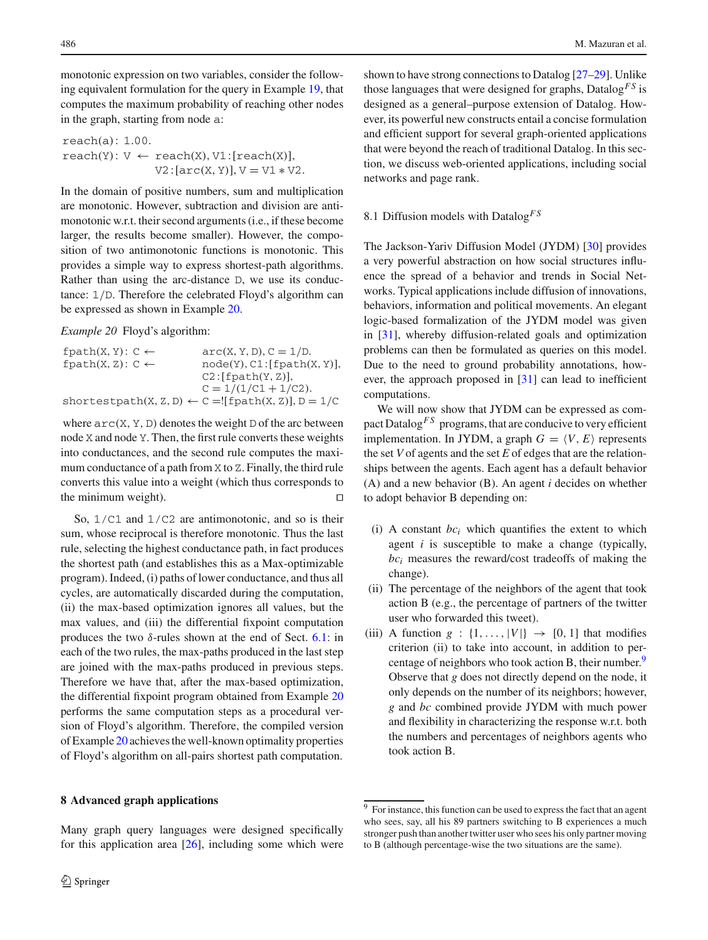monotonic expression on two variables, consider the following equivalent formulation for the query in Example [19,](#page-14-0) that computes the maximum probability of reaching other nodes in the graph, starting from node a:

reach(a): 1.00.  $reach(Y): V \leftarrow reach(X), V1: [reach(X)],$  $V2: [arc(X, Y)], V = V1 * V2.$ 

In the domain of positive numbers, sum and multiplication are monotonic. However, subtraction and division are antimonotonic w.r.t. their second arguments (i.e., if these become larger, the results become smaller). However, the composition of two antimonotonic functions is monotonic. This provides a simple way to express shortest-path algorithms. Rather than using the arc-distance D, we use its conductance: 1/D. Therefore the celebrated Floyd's algorithm can be expressed as shown in Example [20.](#page-15-1)

<span id="page-15-1"></span>*Example 20* Floyd's algorithm:

| fpath $(X, Y)$ : C $\leftarrow$ | $arc(X, Y, D), C = 1/D.$                                         |
|---------------------------------|------------------------------------------------------------------|
| fpath $(X, Z)$ : C $\leftarrow$ | node(Y), C1: [fpath(X, Y)],                                      |
|                                 | C2: [fpath(Y, Z)],                                               |
|                                 | $C = 1/(1/C1 + 1/C2)$ .                                          |
|                                 | shortestpath $(X, Z, D) \leftarrow C = [[fpath(X, Z)], D = 1/C]$ |

where  $\text{arc}(X, Y, D)$  denotes the weight D of the arc between node X and node Y. Then, the first rule converts these weights into conductances, and the second rule computes the maximum conductance of a path from X to Z. Finally, the third rule converts this value into a weight (which thus corresponds to the minimum weight).  $\Box$ 

So,  $1/C1$  and  $1/C2$  are antimonotonic, and so is their sum, whose reciprocal is therefore monotonic. Thus the last rule, selecting the highest conductance path, in fact produces the shortest path (and establishes this as a Max-optimizable program). Indeed, (i) paths of lower conductance, and thus all cycles, are automatically discarded during the computation, (ii) the max-based optimization ignores all values, but the max values, and (iii) the differential fixpoint computation produces the two  $\delta$ -rules shown at the end of Sect. [6.1:](#page-10-2) in each of the two rules, the max-paths produced in the last step are joined with the max-paths produced in previous steps. Therefore we have that, after the max-based optimization, the differential fixpoint program obtained from Example [20](#page-15-1) performs the same computation steps as a procedural version of Floyd's algorithm. Therefore, the compiled version of Example [20](#page-15-1) achieves the well-known optimality properties of Floyd's algorithm on all-pairs shortest path computation.

Many graph query languages were designed specifically for this application area  $[26]$  $[26]$ , including some which were

### <span id="page-15-0"></span>**8 Advanced graph applications**

shown to have strong connections to Datalog [\[27](#page-22-25)[–29\]](#page-22-26). Unlike those languages that were designed for graphs,  $\text{Database}^{FS}$  is designed as a general–purpose extension of Datalog. However, its powerful new constructs entail a concise formulation and efficient support for several graph-oriented applications that were beyond the reach of traditional Datalog. In this section, we discuss web-oriented applications, including social networks and page rank.

# 8.1 Diffusion models with Datalog*F S*

The Jackson-Yariv Diffusion Model (JYDM) [\[30\]](#page-22-27) provides a very powerful abstraction on how social structures influence the spread of a behavior and trends in Social Networks. Typical applications include diffusion of innovations, behaviors, information and political movements. An elegant logic-based formalization of the JYDM model was given in [\[31](#page-22-28)], whereby diffusion-related goals and optimization problems can then be formulated as queries on this model. Due to the need to ground probability annotations, however, the approach proposed in [\[31\]](#page-22-28) can lead to inefficient computations.

We will now show that JYDM can be expressed as compact Datalog<sup>*FS*</sup> programs, that are conducive to very efficient implementation. In JYDM, a graph  $G = \langle V, E \rangle$  represents the set *V* of agents and the set *E* of edges that are the relationships between the agents. Each agent has a default behavior (A) and a new behavior (B). An agent *i* decides on whether to adopt behavior B depending on:

- (i) A constant  $bc_i$  which quantifies the extent to which agent *i* is susceptible to make a change (typically, *bci* measures the reward/cost tradeoffs of making the change).
- (ii) The percentage of the neighbors of the agent that took action B (e.g., the percentage of partners of the twitter user who forwarded this tweet).
- (iii) A function  $g : \{1, ..., |V|\} \rightarrow [0, 1]$  that modifies criterion (ii) to take into account, in addition to per-centage of neighbors who took action B, their number.<sup>[9](#page-15-2)</sup> Observe that *g* does not directly depend on the node, it only depends on the number of its neighbors; however, *g* and *bc* combined provide JYDM with much power and flexibility in characterizing the response w.r.t. both the numbers and percentages of neighbors agents who took action B.

<span id="page-15-2"></span> $\frac{9}{9}$  For instance, this function can be used to express the fact that an agent who sees, say, all his 89 partners switching to B experiences a much stronger push than another twitter user who sees his only partner moving to B (although percentage-wise the two situations are the same).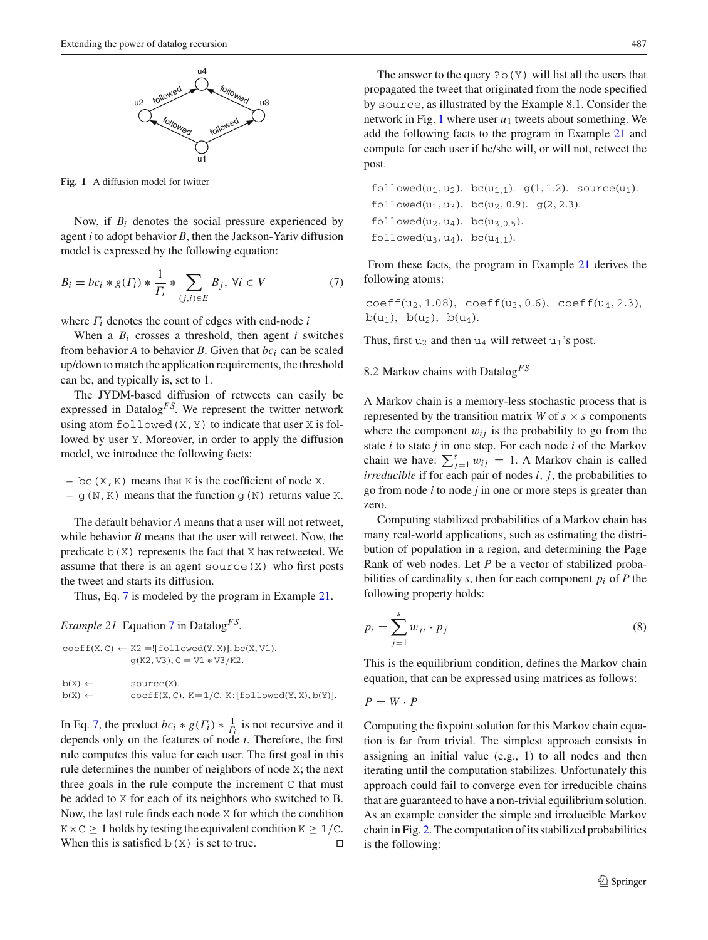

<span id="page-16-2"></span>**Fig. 1** A diffusion model for twitter

Now, if *Bi* denotes the social pressure experienced by agent *i* to adopt behavior *B*, then the Jackson-Yariv diffusion model is expressed by the following equation:

<span id="page-16-0"></span>
$$
B_i = bc_i * g(\Gamma_i) * \frac{1}{\Gamma_i} * \sum_{(j,i) \in E} B_j, \forall i \in V \tag{7}
$$

where Γ*<sup>i</sup>* denotes the count of edges with end-node *i*

When a  $B_i$  crosses a threshold, then agent *i* switches from behavior  $A$  to behavior  $B$ . Given that  $bc_i$  can be scaled up/down to match the application requirements, the threshold can be, and typically is, set to 1.

The JYDM-based diffusion of retweets can easily be expressed in Datalog<sup>FS</sup>. We represent the twitter network using atom  $f$ ollowed $(X, Y)$  to indicate that user X is followed by user Y. Moreover, in order to apply the diffusion model, we introduce the following facts:

– bc( $X$ ,  $K$ ) means that  $K$  is the coefficient of node  $X$ .

–  $g(N,K)$  means that the function  $g(N)$  returns value K.

The default behavior *A* means that a user will not retweet, while behavior *B* means that the user will retweet. Now, the predicate  $b(X)$  represents the fact that X has retweeted. We assume that there is an agent source  $(X)$  who first posts the tweet and starts its diffusion.

Thus, Eq. [7](#page-16-0) is modeled by the program in Example [21.](#page-16-1)

<span id="page-16-1"></span>*Example 21* Equation [7](#page-16-0) in Datalog*F S*.

```
coeff(X, C) \leftarrow K2 =![followed(Y, X)], bc(X, V1),g(K2, V3), C = V1 * V3/K2.b(X) \leftarrow source(X).
b(X) \leftarrow coeff(X, C), K=1/C, K: [followed(Y, X), b(Y)].
```
In Eq. [7,](#page-16-0) the product  $bc_i * g(\Gamma_i) * \frac{1}{\Gamma_i}$  is not recursive and it depends only on the features of node *i*. Therefore, the first rule computes this value for each user. The first goal in this rule determines the number of neighbors of node X; the next three goals in the rule compute the increment C that must be added to X for each of its neighbors who switched to B. Now, the last rule finds each node X for which the condition  $K \times C \geq 1$  holds by testing the equivalent condition  $K \geq 1/C$ . When this is satisfied b(X) is set to true.  $\square$ 

The answer to the query  $?b(Y)$  will list all the users that propagated the tweet that originated from the node specified by source, as illustrated by the Example 8.1. Consider the network in Fig. [1](#page-16-2) where user  $u_1$  tweets about something. We add the following facts to the program in Example [21](#page-16-1) and compute for each user if he/she will, or will not, retweet the post.

```
followed(u_1, u_2). bc(u_{1,1}). g(1, 1.2). source(u_1).
followed(u_1, u_3). bc(u_2, 0.9). q(2, 2.3).
followed(u_2, u_4). bc(u_{3,0.5}).
followed(u_3, u_4). bc(u_{4.1}).
```
From these facts, the program in Example [21](#page-16-1) derives the following atoms:

 $coeff(u_2, 1.08)$ ,  $coeff(u_3, 0.6)$ ,  $coeff(u_4, 2.3)$ ,  $b(u_1)$ ,  $b(u_2)$ ,  $b(u_4)$ .

Thus, first  $u_2$  and then  $u_4$  will retweet  $u_1$ 's post.

8.2 Markov chains with Datalog*F S*

A Markov chain is a memory-less stochastic process that is represented by the transition matrix *W* of  $s \times s$  components where the component  $w_{ij}$  is the probability to go from the state *i* to state *j* in one step. For each node *i* of the Markov chain we have:  $\sum_{j=1}^{s} w_{ij} = 1$ . A Markov chain is called *irreducible* if for each pair of nodes *i*, *j*, the probabilities to go from node *i* to node *j* in one or more steps is greater than zero.

Computing stabilized probabilities of a Markov chain has many real-world applications, such as estimating the distribution of population in a region, and determining the Page Rank of web nodes. Let *P* be a vector of stabilized probabilities of cardinality *s*, then for each component  $p_i$  of *P* the following property holds:

<span id="page-16-3"></span>
$$
p_i = \sum_{j=1}^{s} w_{ji} \cdot p_j \tag{8}
$$

This is the equilibrium condition, defines the Markov chain equation, that can be expressed using matrices as follows:

 $P = W \cdot P$ 

Computing the fixpoint solution for this Markov chain equation is far from trivial. The simplest approach consists in assigning an initial value (e.g., 1) to all nodes and then iterating until the computation stabilizes. Unfortunately this approach could fail to converge even for irreducible chains that are guaranteed to have a non-trivial equilibrium solution. As an example consider the simple and irreducible Markov chain in Fig. [2.](#page-17-0) The computation of its stabilized probabilities is the following: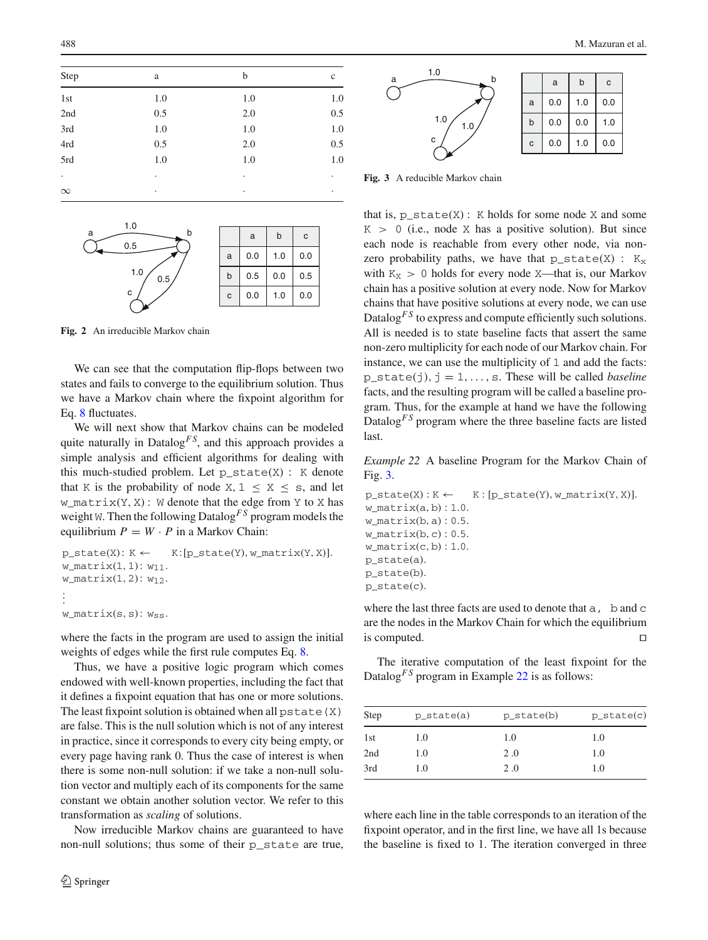| Step     | a   | b   | $\mathbf c$ |
|----------|-----|-----|-------------|
| 1st      | 1.0 | 1.0 | 1.0         |
| 2nd      | 0.5 | 2.0 | 0.5         |
| 3rd      | 1.0 | 1.0 | 1.0         |
| 4rd      | 0.5 | 2.0 | 0.5         |
| 5rd      | 1.0 | 1.0 | 1.0         |
| ٠        | ٠   | ٠   | ٠           |
| $\infty$ | ٠   | ٠   | $\bullet$   |



<span id="page-17-0"></span>**Fig. 2** An irreducible Markov chain

We can see that the computation flip-flops between two states and fails to converge to the equilibrium solution. Thus we have a Markov chain where the fixpoint algorithm for Eq. [8](#page-16-3) fluctuates.

We will next show that Markov chains can be modeled quite naturally in Datalog<sup> $FS$ </sup>, and this approach provides a simple analysis and efficient algorithms for dealing with this much-studied problem. Let  $p\_state(X)$ : K denote that K is the probability of node X,  $1 \le X \le$  s, and let  $w_matrix(Y, X)$ : W denote that the edge from Y to X has weight W. Then the following Datalog<sup>FS</sup> program models the equilibrium  $P = W \cdot P$  in a Markov Chain:

```
p\_state(X): K \leftarrow K:[p\_state(Y), w\_matrix(Y, X)].w_matrix(1, 1): w_{11}.w_matrix(1, 2): w_{12}..
.
.
w_matrix(s, s): w_{ss}.
```
where the facts in the program are used to assign the initial weights of edges while the first rule computes Eq. [8.](#page-16-3)

Thus, we have a positive logic program which comes endowed with well-known properties, including the fact that it defines a fixpoint equation that has one or more solutions. The least fixpoint solution is obtained when all  $pstate(X)$ are false. This is the null solution which is not of any interest in practice, since it corresponds to every city being empty, or every page having rank 0. Thus the case of interest is when there is some non-null solution: if we take a non-null solution vector and multiply each of its components for the same constant we obtain another solution vector. We refer to this transformation as *scaling* of solutions.

Now irreducible Markov chains are guaranteed to have non-null solutions; thus some of their p\_state are true,



<span id="page-17-1"></span>**Fig. 3** A reducible Markov chain

that is,  $p\_state(X)$ : K holds for some node X and some  $K > 0$  (i.e., node X has a positive solution). But since each node is reachable from every other node, via nonzero probability paths, we have that  $p\_state(X)$ :  $K_X$ with  $K_X > 0$  holds for every node X—that is, our Markov chain has a positive solution at every node. Now for Markov chains that have positive solutions at every node, we can use Datalog<sup>*FS*</sup> to express and compute efficiently such solutions. All is needed is to state baseline facts that assert the same non-zero multiplicity for each node of our Markov chain. For instance, we can use the multiplicity of 1 and add the facts: p\_state(j),  $j = 1, \ldots, s$ . These will be called *baseline* facts, and the resulting program will be called a baseline program. Thus, for the example at hand we have the following Datalog<sup>*FS*</sup> program where the three baseline facts are listed last.

<span id="page-17-2"></span>*Example 22* A baseline Program for the Markov Chain of Fig. [3.](#page-17-1)

```
p\_state(X) : K \leftarrow K : [p\_state(Y), w\_matrix(Y, X)].w matrix(a, b): 1.0.
w matrix(b, a) : 0.5.
w_matrix(b, c) : 0.5.w_matrix(c, b) : 1.0.p_state(a).
p_state(b).
p state(c).
```
where the last three facts are used to denote that a, b and c are the nodes in the Markov Chain for which the equilibrium is computed.

The iterative computation of the least fixpoint for the Datalog<sup>*FS*</sup> program in Example [22](#page-17-2) is as follows:

| <b>Step</b> | $p_{state(a)}$ | $p_{state(b)}$ | $p\_state(c)$ |
|-------------|----------------|----------------|---------------|
| 1st         | 1.0            | 1.0            | 1.0           |
| 2nd         | 1.0            | 2.0            | 1.0           |
| 3rd         | 1.0            | 2.0            | 1.0           |

where each line in the table corresponds to an iteration of the fixpoint operator, and in the first line, we have all 1s because the baseline is fixed to 1. The iteration converged in three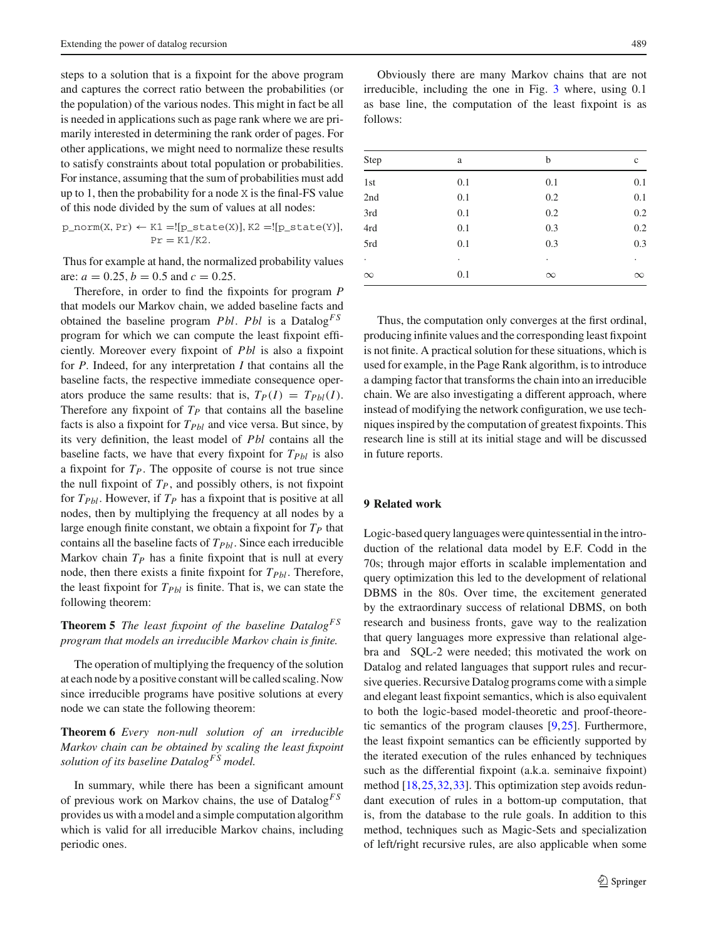steps to a solution that is a fixpoint for the above program and captures the correct ratio between the probabilities (or the population) of the various nodes. This might in fact be all is needed in applications such as page rank where we are primarily interested in determining the rank order of pages. For other applications, we might need to normalize these results to satisfy constraints about total population or probabilities. For instance, assuming that the sum of probabilities must add up to 1, then the probability for a node X is the final-FS value of this node divided by the sum of values at all nodes:

$$
\text{p\_norm}(X, \text{Pr}) \leftarrow \text{K1} = ![\text{p\_state}(X)], \text{K2} = ![\text{p\_state}(Y)], \text{Pr} = \text{K1/K2}.
$$

Thus for example at hand, the normalized probability values are:  $a = 0.25$ ,  $b = 0.5$  and  $c = 0.25$ .

Therefore, in order to find the fixpoints for program *P* that models our Markov chain, we added baseline facts and obtained the baseline program *Pbl*. *Pbl* is a Datalog*F S* program for which we can compute the least fixpoint efficiently. Moreover every fixpoint of *Pbl* is also a fixpoint for *P*. Indeed, for any interpretation *I* that contains all the baseline facts, the respective immediate consequence operators produce the same results: that is,  $T_P(I) = T_{Pbl}(I)$ . Therefore any fixpoint of  $T_p$  that contains all the baseline facts is also a fixpoint for  $T_{Pbl}$  and vice versa. But since, by its very definition, the least model of *Pbl* contains all the baseline facts, we have that every fixpoint for  $T_{Pbl}$  is also a fixpoint for *TP*. The opposite of course is not true since the null fixpoint of  $T_P$ , and possibly others, is not fixpoint for  $T_{Pbl}$ . However, if  $T_P$  has a fixpoint that is positive at all nodes, then by multiplying the frequency at all nodes by a large enough finite constant, we obtain a fixpoint for  $T_P$  that contains all the baseline facts of *TPbl*. Since each irreducible Markov chain  $T_P$  has a finite fixpoint that is null at every node, then there exists a finite fixpoint for *TPbl*. Therefore, the least fixpoint for  $T_{Pbl}$  is finite. That is, we can state the following theorem:

# **Theorem 5** *The least fixpoint of the baseline DatalogF S program that models an irreducible Markov chain is finite.*

The operation of multiplying the frequency of the solution at each node by a positive constant will be called scaling. Now since irreducible programs have positive solutions at every node we can state the following theorem:

**Theorem 6** *Every non-null solution of an irreducible Markov chain can be obtained by scaling the least fixpoint solution of its baseline DatalogF S model.*

In summary, while there has been a significant amount of previous work on Markov chains, the use of Datalog*F S* provides us with a model and a simple computation algorithm which is valid for all irreducible Markov chains, including periodic ones.

Obviously there are many Markov chains that are not irreducible, including the one in Fig. [3](#page-17-1) where, using 0.1 as base line, the computation of the least fixpoint is as follows:

| Step                 | a         | b        | $\mathbf c$          |
|----------------------|-----------|----------|----------------------|
| 1st                  | 0.1       | 0.1      | 0.1                  |
| 2nd                  | 0.1       | 0.2      | 0.1                  |
| 3rd                  | 0.1       | 0.2      | 0.2                  |
| 4rd                  | 0.1       | 0.3      | 0.2                  |
| 5rd                  | 0.1       | 0.3      | 0.3                  |
| $\ddot{\phantom{0}}$ | $\bullet$ |          | $\ddot{\phantom{0}}$ |
| $\infty$             | 0.1       | $\infty$ | $\infty$             |
|                      |           |          |                      |

Thus, the computation only converges at the first ordinal, producing infinite values and the corresponding least fixpoint is not finite. A practical solution for these situations, which is used for example, in the Page Rank algorithm, is to introduce a damping factor that transforms the chain into an irreducible chain. We are also investigating a different approach, where instead of modifying the network configuration, we use techniques inspired by the computation of greatest fixpoints. This research line is still at its initial stage and will be discussed in future reports.

### <span id="page-18-0"></span>**9 Related work**

Logic-based query languages were quintessential in the introduction of the relational data model by E.F. Codd in the 70s; through major efforts in scalable implementation and query optimization this led to the development of relational DBMS in the 80s. Over time, the excitement generated by the extraordinary success of relational DBMS, on both research and business fronts, gave way to the realization that query languages more expressive than relational algebra and SQL-2 were needed; this motivated the work on Datalog and related languages that support rules and recursive queries. Recursive Datalog programs come with a simple and elegant least fixpoint semantics, which is also equivalent to both the logic-based model-theoretic and proof-theoretic semantics of the program clauses [\[9](#page-22-8)[,25](#page-22-23)]. Furthermore, the least fixpoint semantics can be efficiently supported by the iterated execution of the rules enhanced by techniques such as the differential fixpoint (a.k.a. seminaive fixpoint) method [\[18,](#page-22-16)[25](#page-22-23)[,32](#page-22-29)[,33](#page-22-30)]. This optimization step avoids redundant execution of rules in a bottom-up computation, that is, from the database to the rule goals. In addition to this method, techniques such as Magic-Sets and specialization of left/right recursive rules, are also applicable when some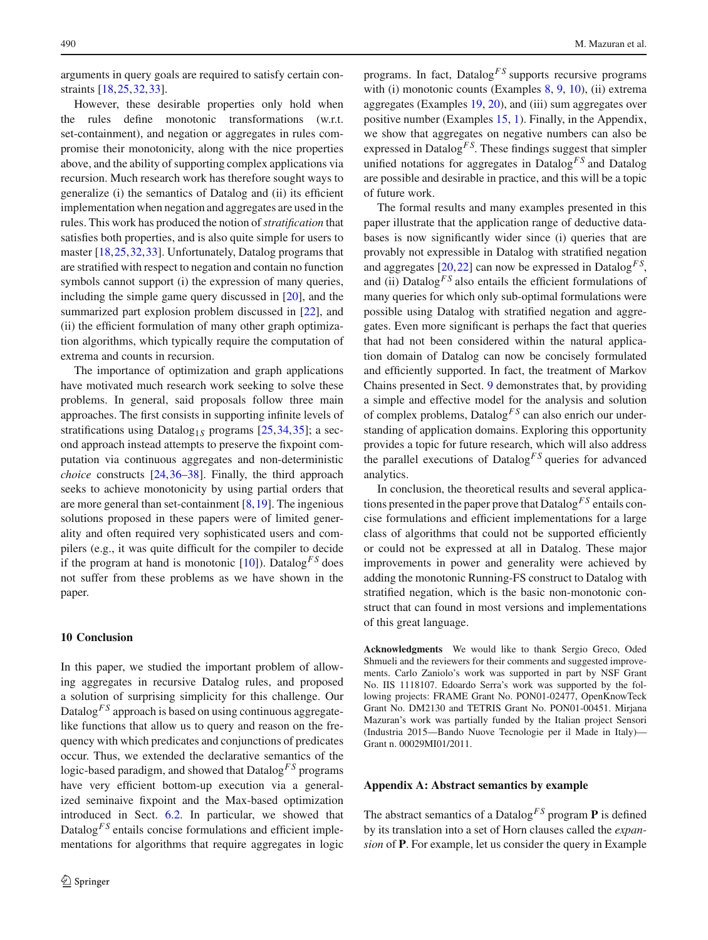arguments in query goals are required to satisfy certain constraints [\[18,](#page-22-16)[25](#page-22-23)[,32](#page-22-29)[,33](#page-22-30)].

However, these desirable properties only hold when the rules define monotonic transformations (w.r.t. set-containment), and negation or aggregates in rules compromise their monotonicity, along with the nice properties above, and the ability of supporting complex applications via recursion. Much research work has therefore sought ways to generalize (i) the semantics of Datalog and (ii) its efficient implementation when negation and aggregates are used in the rules. This work has produced the notion of*stratification* that satisfies both properties, and is also quite simple for users to master [\[18](#page-22-16)[,25](#page-22-23),[32,](#page-22-29)[33\]](#page-22-30). Unfortunately, Datalog programs that are stratified with respect to negation and contain no function symbols cannot support (i) the expression of many queries, including the simple game query discussed in [\[20](#page-22-18)], and the summarized part explosion problem discussed in [\[22\]](#page-22-20), and (ii) the efficient formulation of many other graph optimization algorithms, which typically require the computation of extrema and counts in recursion.

The importance of optimization and graph applications have motivated much research work seeking to solve these problems. In general, said proposals follow three main approaches. The first consists in supporting infinite levels of stratifications using Datalog<sub>1*S*</sub> programs [\[25](#page-22-23)[,34](#page-22-31)[,35](#page-22-32)]; a second approach instead attempts to preserve the fixpoint computation via continuous aggregates and non-deterministic *choice* constructs [\[24,](#page-22-22)[36](#page-22-33)[–38\]](#page-22-34). Finally, the third approach seeks to achieve monotonicity by using partial orders that are more general than set-containment [\[8](#page-22-6)[,19](#page-22-17)]. The ingenious solutions proposed in these papers were of limited generality and often required very sophisticated users and compilers (e.g., it was quite difficult for the compiler to decide if the program at hand is monotonic  $[10]$ ). Datalog<sup>FS</sup> does not suffer from these problems as we have shown in the paper.

### **10 Conclusion**

In this paper, we studied the important problem of allowing aggregates in recursive Datalog rules, and proposed a solution of surprising simplicity for this challenge. Our Datalog<sup>*FS*</sup> approach is based on using continuous aggregatelike functions that allow us to query and reason on the frequency with which predicates and conjunctions of predicates occur. Thus, we extended the declarative semantics of the logic-based paradigm, and showed that Datalog<sup>FS</sup> programs have very efficient bottom-up execution via a generalized seminaive fixpoint and the Max-based optimization introduced in Sect. [6.2.](#page-12-0) In particular, we showed that Datalog<sup> $FS$ </sup> entails concise formulations and efficient implementations for algorithms that require aggregates in logic

programs. In fact, Datalog*F S* supports recursive programs with (i) monotonic counts (Examples [8,](#page-6-1) [9,](#page-6-2) [10\)](#page-6-3), (ii) extrema aggregates (Examples [19,](#page-14-0) [20\)](#page-15-1), and (iii) sum aggregates over positive number (Examples [15,](#page-8-2) 1). Finally, in the Appendix, we show that aggregates on negative numbers can also be expressed in Datalog<sup>FS</sup>. These findings suggest that simpler unified notations for aggregates in Datalog*F S* and Datalog are possible and desirable in practice, and this will be a topic of future work.

The formal results and many examples presented in this paper illustrate that the application range of deductive databases is now significantly wider since (i) queries that are provably not expressible in Datalog with stratified negation and aggregates  $[20,22]$  $[20,22]$  $[20,22]$  can now be expressed in Datalog<sup>FS</sup>, and (ii) Datalog<sup>FS</sup> also entails the efficient formulations of many queries for which only sub-optimal formulations were possible using Datalog with stratified negation and aggregates. Even more significant is perhaps the fact that queries that had not been considered within the natural application domain of Datalog can now be concisely formulated and efficiently supported. In fact, the treatment of Markov Chains presented in Sect. [9](#page-18-0) demonstrates that, by providing a simple and effective model for the analysis and solution of complex problems, Datalog*F S* can also enrich our understanding of application domains. Exploring this opportunity provides a topic for future research, which will also address the parallel executions of Datalog<sup>FS</sup> queries for advanced analytics.

In conclusion, the theoretical results and several applications presented in the paper prove that Datalog*F S* entails concise formulations and efficient implementations for a large class of algorithms that could not be supported efficiently or could not be expressed at all in Datalog. These major improvements in power and generality were achieved by adding the monotonic Running-FS construct to Datalog with stratified negation, which is the basic non-monotonic construct that can found in most versions and implementations of this great language.

**Acknowledgments** We would like to thank Sergio Greco, Oded Shmueli and the reviewers for their comments and suggested improvements. Carlo Zaniolo's work was supported in part by NSF Grant No. IIS 1118107. Edoardo Serra's work was supported by the following projects: FRAME Grant No. PON01-02477, OpenKnowTeck Grant No. DM2130 and TETRIS Grant No. PON01-00451. Mirjana Mazuran's work was partially funded by the Italian project Sensori (Industria 2015—Bando Nuove Tecnologie per il Made in Italy)— Grant n. 00029MI01/2011.

#### **Appendix A: Abstract semantics by example**

The abstract semantics of a Datalog<sup> $FS$ </sup> program **P** is defined by its translation into a set of Horn clauses called the *expansion* of **P**. For example, let us consider the query in Example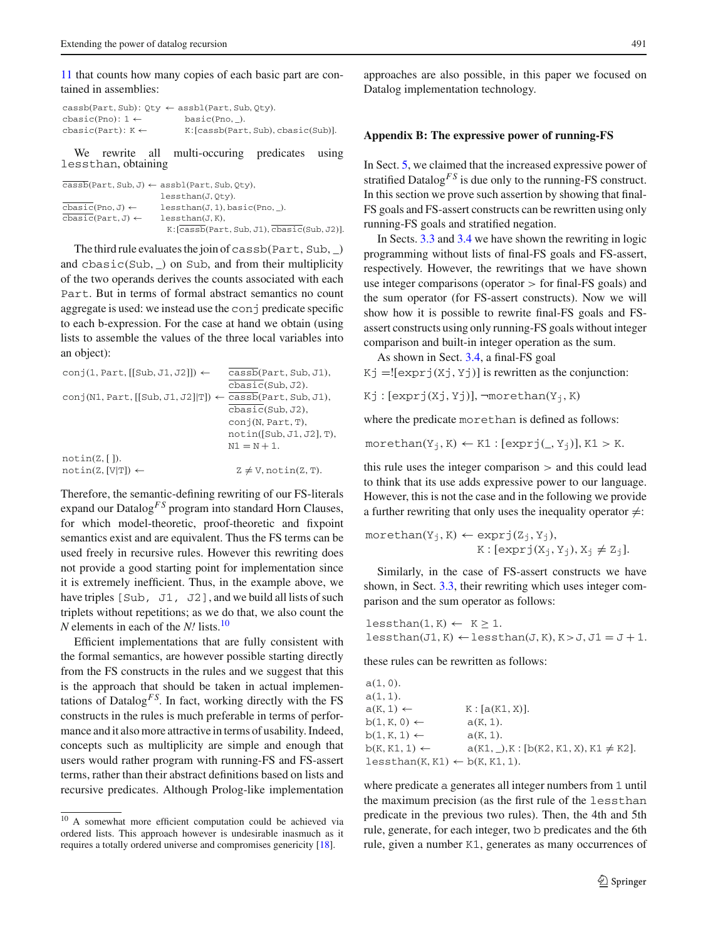[11](#page-7-0) that counts how many copies of each basic part are contained in assemblies:

|                              | $\text{cas}(\text{Part}, \text{Sub})$ : Qty $\leftarrow$ assbl(Part, Sub, Qty). |
|------------------------------|---------------------------------------------------------------------------------|
| cbasic(Pno): $1 \leftarrow$  | basic(Pno, ).                                                                   |
| cbasic(Part): $K \leftarrow$ | K: [cassb(Part, Sub), cbasic(Sub)].                                             |

We rewrite all multi-occuring predicates using lessthan, obtaining

|                                                         | $\text{cas}$ b $(\text{Part}, \text{Sub}, J) \leftarrow \text{as}$ bl $(\text{Part}, \text{Sub}, 0$ ty), |
|---------------------------------------------------------|----------------------------------------------------------------------------------------------------------|
|                                                         | lessthan(J.Oty).                                                                                         |
| $\texttt{chasic(Pro, J)} \leftarrow$                    | $less than (J, 1)$ , $basic(Pro, ).$                                                                     |
| $\texttt{cbasic}(\texttt{Part}, \texttt{J}) \leftarrow$ | less than (J, K),                                                                                        |
|                                                         | K: [cassb(Part, Sub, J1), cbasic(Sub, J2)]                                                               |
|                                                         |                                                                                                          |

The third rule evaluates the join of cassb(Part, Sub,  $\Box$ ) and cbasic(Sub, \_) on Sub, and from their multiplicity of the two operands derives the counts associated with each Part. But in terms of formal abstract semantics no count aggregate is used: we instead use the conj predicate specific to each b-expression. For the case at hand we obtain (using lists to assemble the values of the three local variables into an object):

| $conj(1, Part, [[Sub, J1, J2]]) \leftarrow$                                    | cassb(Part, Sub, J1),                         |
|--------------------------------------------------------------------------------|-----------------------------------------------|
|                                                                                | $\texttt{cbasic}(\texttt{Sub}, \texttt{J2}).$ |
| $conj(N1, Part, [[Sub, J1, J2]]T]) \leftarrow \overline{casb}(Part, Sub, J1),$ |                                               |
|                                                                                | $\texttt{chasic}(\texttt{Sub}, \texttt{J2}),$ |
|                                                                                | conj(N, Part, T),                             |
|                                                                                | $notin([Sub, J1, J2], T)$ ,                   |
|                                                                                | $N1 = N + 1$ .                                |
| $notin(Z, \lceil \rceil).$                                                     |                                               |
| $notin(Z, [V T]) \leftarrow$                                                   | $Z \neq V$ , notin $(Z, T)$ .                 |

Therefore, the semantic-defining rewriting of our FS-literals expand our Datalog<sup>*FS*</sup> program into standard Horn Clauses, for which model-theoretic, proof-theoretic and fixpoint semantics exist and are equivalent. Thus the FS terms can be used freely in recursive rules. However this rewriting does not provide a good starting point for implementation since it is extremely inefficient. Thus, in the example above, we have triples [Sub, J1, J2], and we build all lists of such triplets without repetitions; as we do that, we also count the *N* elements in each of the *N!* lists.[10](#page-20-0)

Efficient implementations that are fully consistent with the formal semantics, are however possible starting directly from the FS constructs in the rules and we suggest that this is the approach that should be taken in actual implementations of Datalog<sup> $FS$ </sup>. In fact, working directly with the FS constructs in the rules is much preferable in terms of performance and it also more attractive in terms of usability. Indeed, concepts such as multiplicity are simple and enough that users would rather program with running-FS and FS-assert terms, rather than their abstract definitions based on lists and recursive predicates. Although Prolog-like implementation approaches are also possible, in this paper we focused on Datalog implementation technology.

# **Appendix B: The expressive power of running-FS**

In Sect. [5,](#page-8-0) we claimed that the increased expressive power of stratified Datalog<sup>*FS*</sup> is due only to the running-FS construct. In this section we prove such assertion by showing that final-FS goals and FS-assert constructs can be rewritten using only running-FS goals and stratified negation.

In Sects. [3.3](#page-4-3) and [3.4](#page-5-0) we have shown the rewriting in logic programming without lists of final-FS goals and FS-assert, respectively. However, the rewritings that we have shown use integer comparisons (operator > for final-FS goals) and the sum operator (for FS-assert constructs). Now we will show how it is possible to rewrite final-FS goals and FSassert constructs using only running-FS goals without integer comparison and built-in integer operation as the sum.

As shown in Sect. [3.4,](#page-5-0) a final-FS goal

 $Kj = [expr(j(Xj, Yj)]$  is rewritten as the conjunction:

Kj :  $[exprj(Xj, Yj)], \neg morethan(Y_i, K)$ 

where the predicate morethan is defined as follows:

 $morethan(Y_i, K) \leftarrow K1 : [exprj(_, Y_i)], K1 > K.$ 

this rule uses the integer comparison  $>$  and this could lead to think that its use adds expressive power to our language. However, this is not the case and in the following we provide a further rewriting that only uses the inequality operator  $\neq$ :

$$
\begin{aligned} \text{morethan}(Y_j,K) \leftarrow \text{exprj}(Z_j,Y_j), \\ & K: [\text{exprj}(X_j,Y_j),X_j \neq Z_j]. \end{aligned}
$$

Similarly, in the case of FS-assert constructs we have shown, in Sect. [3.3,](#page-4-3) their rewriting which uses integer comparison and the sum operator as follows:

 $less than(1, K) \leftarrow K > 1.$  $less than (J1, K) \leftarrow less than (J, K), K > J, J1 = J + 1.$ 

these rules can be rewritten as follows:

| a(1,0).                                    |                                              |
|--------------------------------------------|----------------------------------------------|
| a(1,1).                                    |                                              |
| $a(K, 1) \leftarrow$                       | K: [a(K1, X)].                               |
| $b(1, K, 0) \leftarrow$                    | $a(K, 1)$ .                                  |
| $b(1, K, 1) \leftarrow$                    | $a(K, 1)$ .                                  |
| $b(K, K1, 1) \leftarrow$                   | $a(K1, )$ , K: [b(K2, K1, X), K1 $\neq$ K2]. |
| $less than(K, K1) \leftarrow b(K, K1, 1).$ |                                              |
|                                            |                                              |

where predicate a generates all integer numbers from 1 until the maximum precision (as the first rule of the lessthan predicate in the previous two rules). Then, the 4th and 5th rule, generate, for each integer, two b predicates and the 6th rule, given a number K1, generates as many occurrences of

<span id="page-20-0"></span><sup>10</sup> A somewhat more efficient computation could be achieved via ordered lists. This approach however is undesirable inasmuch as it requires a totally ordered universe and compromises genericity [\[18](#page-22-16)].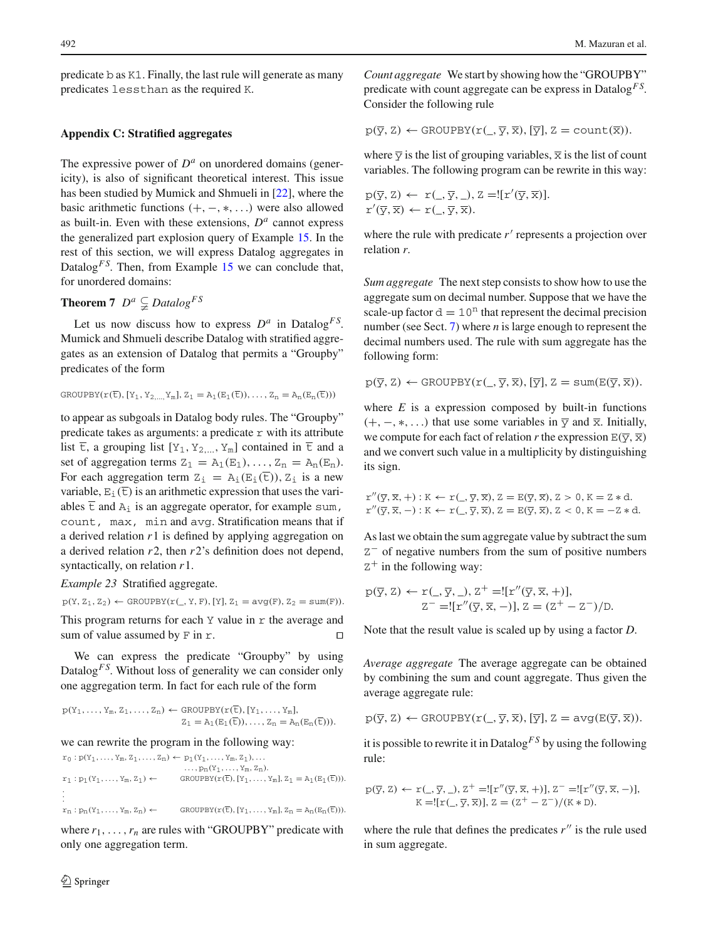predicate b as K1. Finally, the last rule will generate as many predicates lessthan as the required K.

# **Appendix C: Stratified aggregates**

The expressive power of  $D^a$  on unordered domains (genericity), is also of significant theoretical interest. This issue has been studied by Mumick and Shmueli in [\[22](#page-22-20)], where the basic arithmetic functions  $(+, -, *, ...)$  were also allowed as built-in. Even with these extensions,  $D<sup>a</sup>$  cannot express the generalized part explosion query of Example [15.](#page-8-2) In the rest of this section, we will express Datalog aggregates in Datalog<sup>*F S*</sup>. Then, from Example [15](#page-8-2) we can conclude that, for unordered domains:

# **Theorem 7**  $D^a \subsetneq Datalog^{FS}$

Let us now discuss how to express  $D^a$  in Datalog<sup>FS</sup>. Mumick and Shmueli describe Datalog with stratified aggregates as an extension of Datalog that permits a "Groupby" predicates of the form

$$
\texttt{GROUPBY}(r(\overline{t}),[Y_1,Y_{2,\ldots,}Y_m],Z_1=A_1(E_1(\overline{t})),\ldots,Z_n=A_n(E_n(\overline{t})))
$$

to appear as subgoals in Datalog body rules. The "Groupby" predicate takes as arguments: a predicate  $r$  with its attribute list  $\overline{t}$ , a grouping list  $[Y_1, Y_2,..., Y_m]$  contained in  $\overline{t}$  and a set of aggregation terms  $Z_1 = A_1(E_1), \ldots, Z_n = A_n(E_n)$ . For each aggregation term  $Z_i = A_i(E_i(\overline{t}))$ ,  $Z_i$  is a new variable,  $E_i(\overline{t})$  is an arithmetic expression that uses the variables  $\overline{\text{t}}$  and  $\overline{\text{A}}_i$  is an aggregate operator, for example sum, count, max, min and avg. Stratification means that if a derived relation *r*1 is defined by applying aggregation on a derived relation *r*2, then *r*2's definition does not depend, syntactically, on relation *r*1.

*Example 23* Stratified aggregate.

 $p(Y, Z_1, Z_2) \leftarrow$  GROUPBY $(r(\_, Y, F), [Y], Z_1 = avg(F), Z_2 = sum(F)).$ 

This program returns for each  $Y$  value in  $r$  the average and sum of value assumed by F in  $r$ .

We can express the predicate "Groupby" by using Datalog<sup>*FS*</sup>. Without loss of generality we can consider only one aggregation term. In fact for each rule of the form

 $p(Y_1,..., Y_m, Z_1,..., Z_n) \leftarrow$  GROUPBY $(r(\overline{t}), [Y_1,..., Y_m],$  $\mathbf{Z}_1 = \mathbf{A}_1(\mathbf{E}_1(\overline{\mathbf{t}})), \ldots, \mathbf{Z}_n = \mathbf{A}_n(\mathbf{E}_n(\overline{\mathbf{t}}))).$ 

we can rewrite the program in the following way:

 $r_0:p(Y_1,\ldots,Y_m,Z_1,\ldots,Z_n)\leftarrow p_1(Y_1,\ldots,Y_m,Z_1),\ldots$  $...$ ,  $p_n(Y_1,..., Y_m, Z_n)$ .  $r_1: p_1(Y_1,\ldots,Y_m,Z_1) \leftarrow \text{GROUPBY}(r(\overline{t}),[Y_1,\ldots,Y_m],Z_1 = \mathrm{A}_1(E_1(\overline{t}))).$ . . .  $r_n: p_n(Y_1,\ldots,Y_m,Z_n) \leftarrow \text{GROUPBY}(r(\overline{t}),[Y_1,\ldots,Y_m],Z_n=A_n(E_n(\overline{t}))).$ 

where  $r_1, \ldots, r_n$  are rules with "GROUPBY" predicate with only one aggregation term.

*Count aggregate* We start by showing how the "GROUPBY" predicate with count aggregate can be express in Datalog*F S*. Consider the following rule

$$
p(\overline{y}, Z) \leftarrow \text{GROUPBY}(r(\_, \overline{y}, \overline{x}), [\overline{y}], Z = \text{count}(\overline{x})).
$$

where  $\overline{y}$  is the list of grouping variables,  $\overline{x}$  is the list of count variables. The following program can be rewrite in this way:

$$
p(\overline{y}, Z) \leftarrow r(\underline{\phantom{x}}, \overline{y}, \underline{\phantom{x}}), Z = ![r'(\overline{y}, \overline{x})].
$$
  

$$
r'(\overline{y}, \overline{x}) \leftarrow r(\underline{\phantom{x}}, \overline{y}, \overline{x}).
$$

where the rule with predicate  $r'$  represents a projection over relation *r*.

*Sum aggregate* The next step consists to show how to use the aggregate sum on decimal number. Suppose that we have the scale-up factor  $d = 10<sup>n</sup>$  that represent the decimal precision number (see Sect. [7\)](#page-13-0) where *n* is large enough to represent the decimal numbers used. The rule with sum aggregate has the following form:

$$
p(\overline{y},\overline{z}) \leftarrow \text{GROUPBY}(r(\_,\overline{y},\overline{x}),[\overline{y}],\overline{z}=\text{sum}(E(\overline{y},\overline{x})).
$$

where  $E$  is a expression composed by built-in functions  $(+, -, *, \ldots)$  that use some variables in  $\overline{y}$  and  $\overline{x}$ . Initially, we compute for each fact of relation *r* the expression  $E(\overline{y}, \overline{x})$ and we convert such value in a multiplicity by distinguishing its sign.

$$
r''(\overline{y}, \overline{x}, +) : K \leftarrow r(\underline{\ } , \overline{y}, \overline{x}), Z = E(\overline{y}, \overline{x}), Z > 0, K = Z * d.
$$
  

$$
r''(\overline{y}, \overline{x}, -) : K \leftarrow r(\underline{\ } , \overline{y}, \overline{x}), Z = E(\overline{y}, \overline{x}), Z < 0, K = -Z * d.
$$

As last we obtain the sum aggregate value by subtract the sum Z<sup>−</sup> of negative numbers from the sum of positive numbers  $Z^+$  in the following way:

$$
p(\overline{y}, Z) \leftarrow r(\underline{\ } , \overline{y}, \underline{\ } ), Z^+ = ![r''(\overline{y}, \overline{x}, +)],
$$
  

$$
Z^- = ![r''(\overline{y}, \overline{x}, -)], Z = (Z^+ - Z^-)/D.
$$

Note that the result value is scaled up by using a factor *D*.

*Average aggregate* The average aggregate can be obtained by combining the sum and count aggregate. Thus given the average aggregate rule:

$$
p(\overline{y},\overline{z}) \leftarrow \text{GROUPBY}(r(\_,\overline{y},\overline{x}),[\overline{y}],\overline{z} = \text{avg}(E(\overline{y},\overline{x})).
$$

it is possible to rewrite it in Datalog*F S* by using the following rule:

$$
p(\overline{y}, Z) \leftarrow r(\underline{\phantom{x}}, \overline{y}, \underline{\phantom{x}}, Z) + =![r''(\overline{y}, \overline{x}, +)], Z^- = [[r''(\overline{y}, \overline{x}, -)],
$$
  
 
$$
K = [[r(\underline{\phantom{x}}, \overline{y}, \overline{x})], Z = (Z^+ - Z^-) / (K * D).
$$

where the rule that defines the predicates  $r''$  is the rule used in sum aggregate.